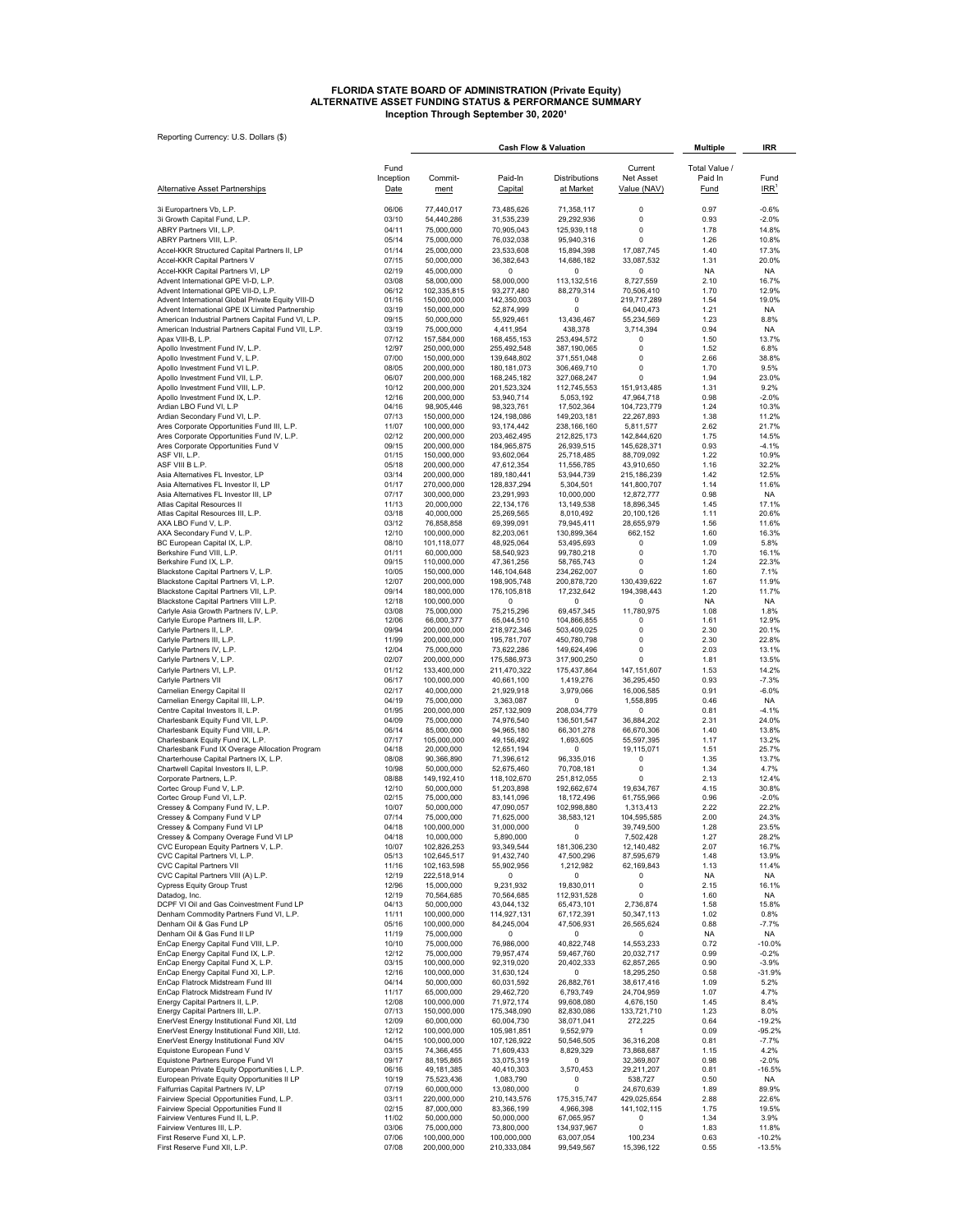# FLORIDA STATE BOARD OF ADMINISTRATION (Private Equity)<br>ALTERNATIVE ASSET FUNDING STATUS & PERFORMANCE SUMMARY<br>Inception Through September 30, 2020<sup>1</sup>

| Reporting Currency: U.S. Dollars (\$)                                                                |                       |                            | <b>Cash Flow &amp; Valuation</b> | <b>Multiple</b>            | IRR                        |                        |                            |
|------------------------------------------------------------------------------------------------------|-----------------------|----------------------------|----------------------------------|----------------------------|----------------------------|------------------------|----------------------------|
|                                                                                                      | Fund                  |                            |                                  |                            | Current                    | Total Value /          |                            |
| <b>Alternative Asset Partnerships</b>                                                                | Inception<br>Date     | Commit-<br>ment            | Paid-In<br>Capital               | Distributions<br>at Market | Net Asset<br>Value (NAV)   | Paid In<br><b>Fund</b> | Fund<br>$IRR$ <sup>1</sup> |
| 3i Europartners Vb, L.P.                                                                             | 06/06                 | 77,440,017                 | 73,485,626                       | 71,358,117                 | 0                          | 0.97                   | $-0.6%$                    |
| 3i Growth Capital Fund, L.P.<br>ABRY Partners VII, L.P.                                              | 03/10<br>04/11        | 54,440,286                 | 31,535,239                       | 29,292,936                 | 0<br>0                     | 0.93<br>1.78           | -2.0%<br>14.8%             |
| ABRY Partners VIII, L.P.                                                                             | 05/14                 | 75,000,000<br>75,000,000   | 70,905,043<br>76,032,038         | 125,939,118<br>95,940,316  | $\Omega$                   | 1.26                   | 10.8%                      |
| Accel-KKR Structured Capital Partners II, LP                                                         | 01/14                 | 25,000,000                 | 23,533,608                       | 15,894,398                 | 17,087,745                 | 1.40                   | 17.3%                      |
| Accel-KKR Capital Partners V                                                                         | 07/15                 | 50,000,000                 | 36,382,643                       | 14,686,182                 | 33,087,532                 | 1.31                   | 20.0%                      |
| Accel-KKR Capital Partners VI, LP<br>Advent International GPE VI-D, L.P.                             | 02/19<br>03/08        | 45,000,000<br>58,000,000   | $^{\circ}$<br>58,000,000         | 0<br>113,132,516           | $^{\circ}$<br>8,727,559    | <b>NA</b><br>2.10      | NA.<br>16.7%               |
| Advent International GPE VII-D, L.P.                                                                 | 06/12                 | 102,335,815                | 93,277,480                       | 88.279.314                 | 70,506,410                 | 1.70                   | 12.9%                      |
| Advent International Global Private Equity VIII-D<br>Advent International GPE IX Limited Partnership | 01/16<br>03/19        | 150,000,000                | 142,350,003                      | 0<br>$\Omega$              | 219,717,289                | 1.54<br>1.21           | 19.0%<br><b>NA</b>         |
| American Industrial Partners Capital Fund VI, L.P.                                                   | 09/15                 | 150,000,000<br>50,000,000  | 52,874,999<br>55,929,461         | 13,436,467                 | 64,040,473<br>55,234,569   | 1.23                   | 8.8%                       |
| American Industrial Partners Capital Fund VII, L.P.                                                  | 03/19                 | 75,000,000                 | 4,411,954                        | 438,378                    | 3,714,394                  | 0.94                   | NA.                        |
| Apax VIII-B, L.P.<br>Apollo Investment Fund IV, L.P.                                                 | 07/12<br>12/97        | 157,584,000<br>250,000,000 | 168,455,153<br>255,492,548       | 253,494,572<br>387,190,065 | 0<br>0                     | 1.50<br>1.52           | 13.7%<br>6.8%              |
| Apollo Investment Fund V, L.P.                                                                       | 07/00                 | 150,000,000                | 139,648,802                      | 371,551,048                | 0                          | 2.66                   | 38.8%                      |
| Apollo Investment Fund VI L.P.<br>Apollo Investment Fund VII, L.P.                                   | 08/05<br>06/07        | 200,000,000<br>200,000,000 | 180, 181, 073<br>168,245,182     | 306,469,710<br>327,068,247 | 0<br>$\Omega$              | 1.70<br>1.94           | 9.5%<br>23.0%              |
| Apollo Investment Fund VIII, L.P.                                                                    | 10/12                 | 200,000,000                | 201,523,324                      | 112,745,553                | 151,913,485                | 1.31                   | 9.2%                       |
| Apollo Investment Fund IX, L.P.                                                                      | 12/16                 | 200,000,000                | 53,940,714                       | 5,053,192                  | 47,964,718                 | 0.98                   | $-2.0%$                    |
| Ardian LBO Fund VI, L.P<br>Ardian Secondary Fund VI, L.P.                                            | 04/16<br>07/13        | 98,905,446<br>150,000,000  | 98,323,761<br>124,198,086        | 17,502,364<br>149,203,181  | 104,723,779<br>22,267,893  | 1.24<br>1.38           | 10.3%<br>11.2%             |
| Ares Corporate Opportunities Fund III, L.P.                                                          | 11/07                 | 100,000,000                | 93,174,442                       | 238.166.160                | 5,811,577                  | 2.62                   | 21.7%                      |
| Ares Corporate Opportunities Fund IV, L.P.                                                           | 02/12                 | 200,000,000                | 203,462,495                      | 212,825,173<br>26,939,515  | 142,844,620                | 1.75                   | 14.5%                      |
| Ares Corporate Opportunities Fund V<br>ASF VII, L.P.                                                 | 09/15<br>01/15        | 200,000,000<br>150,000,000 | 184,965,875<br>93,602,064        | 25,718,485                 | 145,628,371<br>88,709,092  | 0.93<br>1.22           | $-4.1%$<br>10.9%           |
| ASF VIII B L.P.                                                                                      | 05/18                 | 200,000,000                | 47,612,354                       | 11,556,785                 | 43,910,650                 | 1.16                   | 32.2%                      |
| Asia Alternatives FL Investor, LP<br>Asia Alternatives FL Investor II, LP                            | 03/14<br>01/17        | 200,000,000<br>270,000,000 | 189,180,441<br>128,837,294       | 53,944,739<br>5,304,501    | 215,186,239<br>141,800,707 | 1.42<br>1.14           | 12.5%<br>11.6%             |
| Asia Alternatives FL Investor III, LP                                                                | 07/17                 | 300,000,000                | 23,291,993                       | 10,000,000                 | 12,872,777                 | 0.98                   | <b>NA</b>                  |
| Atlas Capital Resources II                                                                           | 11/13<br>03/18        | 20,000,000<br>40,000,000   | 22, 134, 176<br>25,269,565       | 13,149,538<br>8,010,492    | 18,896,345<br>20,100,126   | 1.45<br>1.11           | 17.1%<br>20.6%             |
| Atlas Capital Resources III, L.P.<br>AXA LBO Fund V, L.P.                                            | 03/12                 | 76,858,858                 | 69,399,091                       | 79,945,411                 | 28,655,979                 | 1.56                   | 11.6%                      |
| AXA Secondary Fund V. L.P.                                                                           | 12/10                 | 100.000.000                | 82,203,061                       | 130,899,364                | 662,152                    | 1.60                   | 16.3%                      |
| BC European Capital IX, L.P.<br>Berkshire Fund VIII, L.P.                                            | 08/10<br>01/11        | 101,118,077<br>60,000,000  | 48,925,064<br>58,540,923         | 53,495,693<br>99,780,218   | 0<br>0                     | 1.09<br>1.70           | 5.8%<br>16.1%              |
| Berkshire Fund IX, L.P.                                                                              | 09/15                 | 110,000,000                | 47,361,256                       | 58,765,743                 | $\Omega$                   | 1.24                   | 22.3%                      |
| Blackstone Capital Partners V, L.P.                                                                  | 10/05                 | 150,000,000                | 146, 104, 648                    | 234,262,007                | $\Omega$                   | 1.60<br>1.67           | 7.1%<br>11.9%              |
| Blackstone Capital Partners VI, L.P.<br>Blackstone Capital Partners VII, L.P.                        | 12/07<br>09/14        | 200,000,000<br>180,000,000 | 198,905,748<br>176,105,818       | 200,878,720<br>17,232,642  | 130,439,622<br>194,398,443 | 1.20                   | 11.7%                      |
| Blackstone Capital Partners VIII L.P.                                                                | 12/18                 | 100,000,000                | $^{\circ}$                       | 0                          | 0                          | <b>NA</b>              | <b>NA</b>                  |
| Carlyle Asia Growth Partners IV, L.P.<br>Carlyle Europe Partners III, L.P.                           | 03/08<br>12/06        | 75,000,000<br>66,000,377   | 75,215,296<br>65,044,510         | 69,457,345<br>104,866,855  | 11,780,975<br>$^{\circ}$   | 1.08<br>1.61           | 1.8%<br>12.9%              |
| Carlyle Partners II, L.P.                                                                            | 09/94                 | 200,000,000                | 218,972,346                      | 503,409,025                | 0                          | 2.30                   | 20.1%                      |
| Carlyle Partners III, L.P.                                                                           | 11/99                 | 200,000,000                | 195,781,707                      | 450,780,798                | 0                          | 2.30                   | 22.8%                      |
| Carlyle Partners IV, L.P.<br>Carlyle Partners V, L.P.                                                | 12/04<br>02/07        | 75,000,000<br>200,000,000  | 73,622,286<br>175,586,973        | 149,624,496<br>317,900,250 | $^{\circ}$<br>$\Omega$     | 2.03<br>1.81           | 13.1%<br>13.5%             |
| Carlyle Partners VI, L.P.                                                                            | 01/12                 | 133,400,000                | 211,470,322                      | 175,437,864                | 147,151,607                | 1.53                   | 14.2%                      |
| Carlyle Partners VII                                                                                 | 06/17                 | 100,000,000                | 40,661,100                       | 1,419,276                  | 36,295,450                 | 0.93                   | $-7.3%$                    |
| Carnelian Energy Capital II<br>Carnelian Energy Capital III, L.P.                                    | 02/17<br>04/19        | 40,000,000<br>75,000,000   | 21,929,918<br>3,363,087          | 3,979,066<br>0             | 16,006,585<br>1,558,895    | 0.91<br>0.46           | $-6.0%$<br><b>NA</b>       |
| Centre Capital Investors II, L.P.                                                                    | 01/95                 | 200,000,000                | 257,132,909                      | 208,034,779                | 0                          | 0.81                   | $-4.1%$                    |
| Charlesbank Equity Fund VII, L.P.<br>Charlesbank Equity Fund VIII, L.P.                              | 04/09<br>06/14        | 75,000,000<br>85,000,000   | 74,976,540<br>94,965,180         | 136,501,547<br>66,301,278  | 36,884,202<br>66,670,306   | 2.31<br>1.40           | 24.0%<br>13.8%             |
| Charlesbank Equity Fund IX, L.P.                                                                     | 07/17                 | 105,000,000                | 49,156,492                       | 1,693,605                  | 55,597,395                 | 1.17                   | 13.2%                      |
| Charlesbank Fund IX Overage Allocation Program                                                       | 04/18                 | 20,000,000                 | 12,651,194                       | 0                          | 19,115,071                 | 1.51                   | 25.7%                      |
| Charterhouse Capital Partners IX, L.P.<br>Chartwell Capital Investors II, L.P.                       | 08/08<br>10/98        | 90,366,890<br>50,000,000   | 71,396,612<br>52,675,460         | 96,335,016<br>70,708,181   | 0<br>0                     | 1.35<br>1.34           | 13.7%<br>4.7%              |
| Corporate Partners, L.P.                                                                             | 08/88                 | 149, 192, 410              | 118,102,670                      | 251,812,055                | $\Omega$                   | 2.13                   | 12.4%                      |
| Cortec Group Fund V, L.P.<br>Cortec Group Fund VI, L.P.                                              | 12/10<br>02/15        | 50,000,000<br>75,000,000   | 51,203,898<br>83,141,096         | 192,662,674<br>18,172,496  | 19,634,767<br>61,755,966   | 4.15<br>0.96           | 30.8%<br>$-2.0%$           |
| Cressey & Company Fund IV, L.P.                                                                      | 10/07                 | 50,000,000                 | 47,090,057                       | 102,998,880                | 1,313,413                  | 2.22                   | 22.2%                      |
| Cressey & Company Fund V LP                                                                          | 07/14                 | 75,000,000                 | 71,625,000                       | 38,583,121                 | 104,595,585                | 2.00                   | 24.3%                      |
| Cressey & Company Fund VI LP<br>Cressey & Company Overage Fund VI LP                                 | <b>04/18</b><br>04/18 | 100,000,000<br>10,000,000  | 31,000,000<br>5,890,000          | υ<br>0                     | 39,749,500<br>7,502,428    | 1.28<br>1.27           | 23.5%<br>28.2%             |
| CVC European Equity Partners V, L.P.                                                                 | 10/07                 | 102,826,253                | 93,349,544                       | 181,306,230                | 12,140,482                 | 2.07                   | 16.7%                      |
| CVC Capital Partners VI, L.P.<br>CVC Capital Partners VII                                            | 05/13<br>11/16        | 102,645,517<br>102,163,598 | 91,432,740<br>55,902,956         | 47,500,296<br>1,212,982    | 87,595,679<br>62,169,843   | 1.48<br>1.13           | 13.9%<br>11.4%             |
| CVC Capital Partners VIII (A) L.P.                                                                   | 12/19                 | 222,518,914                | 0                                | 0                          | 0                          | NA                     | NA.                        |
| <b>Cypress Equity Group Trust</b><br>Datadog, Inc.                                                   | 12/96<br>12/19        | 15,000,000<br>70,564,685   | 9,231,932<br>70,564,685          | 19,830,011<br>112,931,528  | 0<br>0                     | 2.15<br>1.60           | 16.1%<br>NA.               |
| DCPF VI Oil and Gas Coinvestment Fund LP                                                             | 04/13                 | 50,000,000                 | 43,044,132                       | 65,473,101                 | 2,736,874                  | 1.58                   | 15.8%                      |
| Denham Commodity Partners Fund VI, L.P.                                                              | 11/11                 | 100,000,000                | 114,927,131                      | 67,172,391                 | 50,347,113                 | 1.02                   | 0.8%                       |
| Denham Oil & Gas Fund LP<br>Denham Oil & Gas Fund II LP                                              | 05/16<br>11/19        | 100,000,000<br>75,000,000  | 84,245,004<br>0                  | 47,506,931<br>0            | 26,565,624<br>0            | 0.88<br>NA.            | $-7.7%$<br>NA.             |
| EnCap Energy Capital Fund VIII, L.P.                                                                 | 10/10                 | 75,000,000                 | 76,986,000                       | 40,822,748                 | 14,553,233                 | 0.72                   | $-10.0%$                   |
| EnCap Energy Capital Fund IX, L.P.<br>EnCap Energy Capital Fund X, L.P.                              | 12/12<br>03/15        | 75,000,000<br>100,000,000  | 79,957,474<br>92,319,020         | 59,467,760<br>20,402,333   | 20,032,717<br>62,857,265   | 0.99<br>0.90           | $-0.2%$<br>$-3.9%$         |
| EnCap Energy Capital Fund XI, L.P.                                                                   | 12/16                 | 100,000,000                | 31,630,124                       | 0                          | 18,295,250                 | 0.58                   | -31.9%                     |
| EnCap Flatrock Midstream Fund III                                                                    | 04/14                 | 50,000,000                 | 60,031,592                       | 26,882,761                 | 38,617,416                 | 1.09                   | 5.2%                       |
| EnCap Flatrock Midstream Fund IV<br>Energy Capital Partners II, L.P.                                 | 11/17<br>12/08        | 65,000,000<br>100,000,000  | 29,462,720<br>71,972,174         | 6,793,749<br>99,608,080    | 24,704,959<br>4,676,150    | 1.07<br>1.45           | 4.7%<br>8.4%               |
| Energy Capital Partners III, L.P.                                                                    | 07/13                 | 150,000,000                | 175,348,090                      | 82,830,086                 | 133,721,710                | 1.23                   | 8.0%                       |
| EnerVest Energy Institutional Fund XII, Ltd<br>EnerVest Energy Institutional Fund XIII, Ltd.         | 12/09<br>12/12        | 60,000,000<br>100,000,000  | 60,004,730<br>105,981,851        | 38,071,041<br>9,552,979    | 272,225<br>-1              | 0.64<br>0.09           | $-19.2%$<br>-95.2%         |
| EnerVest Energy Institutional Fund XIV                                                               | 04/15                 | 100,000,000                | 107,126,922                      | 50,546,505                 | 36,316,208                 | 0.81                   | $-7.7%$                    |
| Equistone European Fund V                                                                            | 03/15                 | 74,366,455                 | 71,609,433                       | 8,829,329                  | 73,868,687                 | 1.15                   | 4.2%                       |
| Equistone Partners Europe Fund VI<br>European Private Equity Opportunities I, L.P.                   | 09/17<br>06/16        | 88,195,865<br>49,181,385   | 33,075,319<br>40,410,303         | 0<br>3,570,453             | 32,369,807<br>29,211,207   | 0.98<br>0.81           | $-2.0%$<br>$-16.5%$        |
| European Private Equity Opportunities II LP                                                          | 10/19                 | 75,523,436                 | 1,083,790                        | 0                          | 538,727                    | 0.50                   | NA.                        |
| Falfurrias Capital Partners IV, LP<br>Fairview Special Opportunities Fund, L.P.                      | 07/19<br>03/11        | 60,000,000<br>220,000,000  | 13,080,000<br>210,143,576        | 0<br>175,315,747           | 24,670,639<br>429,025,654  | 1.89<br>2.88           | 89.9%<br>22.6%             |
| Fairview Special Opportunities Fund II                                                               | 02/15                 | 87,000,000                 | 83,366,199                       | 4,966,398                  | 141,102,115                | 1.75                   | 19.5%                      |
| Fairview Ventures Fund II, L.P.                                                                      | 11/02                 | 50,000,000                 | 50,000,000                       | 67,065,957                 | 0                          | 1.34                   | 3.9%                       |
| Fairview Ventures III, L.P.<br>First Reserve Fund XI, L.P.                                           | 03/06<br>07/06        | 75,000,000<br>100,000,000  | 73,800,000<br>100,000,000        | 134,937,967<br>63,007,054  | 0<br>100,234               | 1.83<br>0.63           | 11.8%<br>$-10.2%$          |
| First Reserve Fund XII, L.P.                                                                         | 07/08                 | 200,000,000                | 210,333,084                      | 99,549,567                 | 15,396,122                 | 0.55                   | $-13.5%$                   |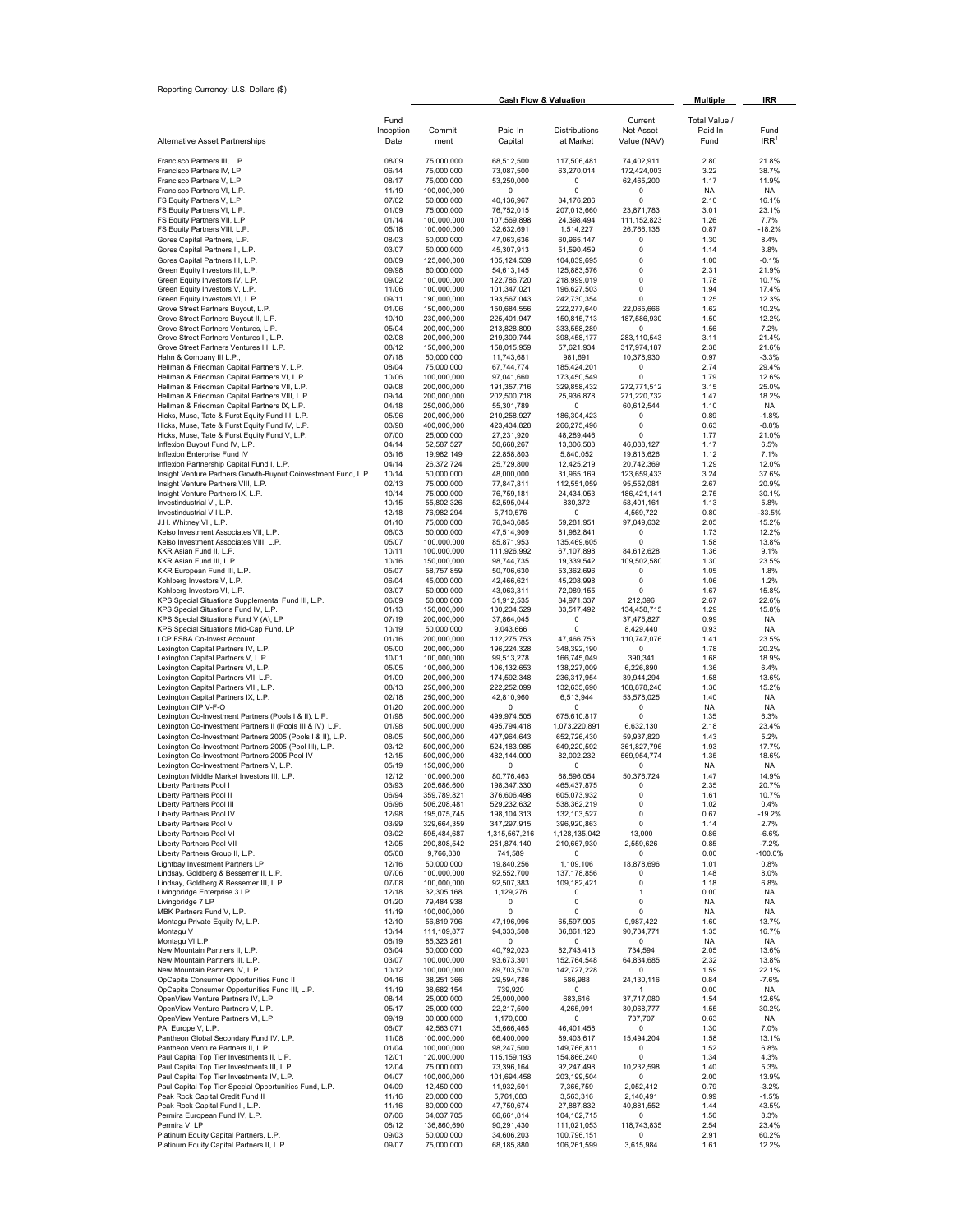| Reporting Currency: U.S. Dollars (\$)                                                                                |                |                            | <b>Cash Flow &amp; Valuation</b> | <b>Multiple</b>              | <b>IRR</b>                  |                   |                    |
|----------------------------------------------------------------------------------------------------------------------|----------------|----------------------------|----------------------------------|------------------------------|-----------------------------|-------------------|--------------------|
|                                                                                                                      | Fund           |                            |                                  |                              | Current                     | Total Value /     |                    |
|                                                                                                                      | Inception      | Commit-                    | Paid-In                          | Distributions                | Net Asset                   | Paid In           | Fund               |
| <u>Alternative Asset Partnerships</u>                                                                                | Date           | ment                       | Capital                          | at Market                    | Value (NAV)                 | Fund              | $IRR$ <sup>1</sup> |
| Francisco Partners III, L.P.<br>Francisco Partners IV, LP                                                            | 08/09<br>06/14 | 75,000,000<br>75,000,000   | 68,512,500<br>73,087,500         | 117,506,481<br>63,270,014    | 74,402,911<br>172,424,003   | 2.80<br>3.22      | 21.8%<br>38.7%     |
| Francisco Partners V, L.P.                                                                                           | 08/17          | 75,000,000                 | 53,250,000                       | 0                            | 62,465,200                  | 1.17              | 11.9%              |
| Francisco Partners VI, L.P.<br>FS Equity Partners V, L.P.                                                            | 11/19<br>07/02 | 100,000,000<br>50,000,000  | 0<br>40,136,967                  | 0<br>84,176,286              | 0<br>0                      | <b>NA</b><br>2.10 | NA<br>16.1%        |
| FS Equity Partners VI, L.P.                                                                                          | 01/09          | 75,000,000                 | 76,752,015                       | 207,013,660                  | 23,871,783                  | 3.01              | 23.1%              |
| FS Equity Partners VII, L.P.<br>FS Equity Partners VIII, L.P.                                                        | 01/14<br>05/18 | 100,000,000<br>100,000,000 | 107,569,898<br>32,632,691        | 24,398,494<br>1,514,227      | 111, 152, 823<br>26,766,135 | 1.26<br>0.87      | 7.7%<br>$-18.2%$   |
| Gores Capital Partners, L.P.                                                                                         | 08/03          | 50,000,000                 | 47,063,636                       | 60,965,147                   | $^{\circ}$                  | 1.30              | 8.4%               |
| Gores Capital Partners II, L.P.<br>Gores Capital Partners III, L.P.                                                  | 03/07<br>08/09 | 50,000,000<br>125,000,000  | 45,307,913<br>105, 124, 539      | 51,590,459<br>104,839,695    | 0<br>0                      | 1.14<br>1.00      | 3.8%<br>$-0.1%$    |
| Green Equity Investors III, L.P.                                                                                     | 09/98          | 60,000,000                 | 54,613,145                       | 125,883,576                  | 0<br>0                      | 2.31              | 21.9%              |
| Green Equity Investors IV, L.P.<br>Green Equity Investors V, L.P.                                                    | 09/02<br>11/06 | 100,000,000<br>100,000,000 | 122,786,720<br>101,347,021       | 218,999,019<br>196,627,503   | 0                           | 1.78<br>1.94      | 10.7%<br>17.4%     |
| Green Equity Investors VI, L.P.                                                                                      | 09/11          | 190,000,000                | 193,567,043                      | 242,730,354                  | 0                           | 1.25              | 12.3%              |
| Grove Street Partners Buyout, L.P.<br>Grove Street Partners Buyout II, L.P.                                          | 01/06<br>10/10 | 150,000,000<br>230,000,000 | 150,684,556<br>225,401,947       | 222,277,640<br>150,815,713   | 22,065,666<br>187,586,930   | 1.62<br>1.50      | 10.2%<br>12.2%     |
| Grove Street Partners Ventures, L.P.<br>Grove Street Partners Ventures II, L.P.                                      | 05/04<br>02/08 | 200,000,000<br>200,000,000 | 213,828,809<br>219,309,744       | 333,558,289<br>398,458,177   | 0<br>283,110,543            | 1.56<br>3.11      | 7.2%<br>21.4%      |
| Grove Street Partners Ventures III, L.P.                                                                             | 08/12          | 150,000,000                | 158,015,959                      | 57,621,934                   | 317,974,187                 | 2.38              | 21.6%              |
| Hahn & Company III L.P.,<br>Hellman & Friedman Capital Partners V, L.P.                                              | 07/18<br>08/04 | 50,000,000<br>75,000,000   | 11,743,681<br>67,744,774         | 981,691<br>185,424,201       | 10,378,930<br>0             | 0.97<br>2.74      | $-3.3%$<br>29.4%   |
| Hellman & Friedman Capital Partners VI, L.P.                                                                         | 10/06          | 100,000,000                | 97,041,660                       | 173,450,549                  | $^{\circ}$                  | 1.79              | 12.6%              |
| Hellman & Friedman Capital Partners VII, L.P.<br>Hellman & Friedman Capital Partners VIII, L.P.                      | 09/08<br>09/14 | 200,000,000<br>200,000,000 | 191,357,716<br>202,500,718       | 329,858,432<br>25,936,878    | 272,771,512<br>271,220,732  | 3.15<br>1.47      | 25.0%<br>18.2%     |
| Hellman & Friedman Capital Partners IX, L.P.                                                                         | 04/18          | 250.000.000                | 55,301,789                       | $^{\circ}$                   | 60,612,544                  | 1.10              | NA                 |
| Hicks, Muse, Tate & Furst Equity Fund III, L.P.<br>Hicks, Muse, Tate & Furst Equity Fund IV, L.P.                    | 05/96<br>03/98 | 200,000,000<br>400,000,000 | 210,258,927<br>423,434,828       | 186,304,423<br>266,275,496   | 0<br>0                      | 0.89<br>0.63      | $-1.8%$<br>$-8.8%$ |
| Hicks, Muse, Tate & Furst Equity Fund V, L.P.                                                                        | 07/00          | 25,000,000                 | 27,231,920                       | 48,289,446                   | $^{\circ}$                  | 1.77              | 21.0%              |
| Inflexion Buyout Fund IV, L.P.<br>Inflexion Enterprise Fund IV                                                       | 04/14<br>03/16 | 52,587,527<br>19,982,149   | 50,668,267<br>22,858,803         | 13,306,503<br>5,840,052      | 46,088,127<br>19,813,626    | 1.17<br>1.12      | 6.5%<br>7.1%       |
| Inflexion Partnership Capital Fund I, L.P.                                                                           | 04/14          | 26,372,724                 | 25,729,800                       | 12,425,219                   | 20.742.369                  | 1.29              | 12.0%              |
| Insight Venture Partners Growth-Buyout Coinvestment Fund, L.P.<br>Insight Venture Partners VIII, L.P.                | 10/14<br>02/13 | 50,000,000<br>75,000,000   | 48,000,000<br>77,847,811         | 31,965,169<br>112,551,059    | 123,659,433<br>95,552,081   | 3.24<br>2.67      | 37.6%<br>20.9%     |
| Insight Venture Partners IX, L.P.                                                                                    | 10/14          | 75,000,000                 | 76,759,181                       | 24,434,053                   | 186,421,141                 | 2.75              | 30.1%              |
| Investindustrial VI, L.P.<br>Investindustrial VII L.P.                                                               | 10/15<br>12/18 | 55,802,326<br>76,982,294   | 52,595,044<br>5,710,576          | 830,372<br>0                 | 58,401,161<br>4,569,722     | 1.13<br>0.80      | 5.8%<br>$-33.5%$   |
| J.H. Whitney VII, L.P.                                                                                               | 01/10          | 75,000,000                 | 76,343,685                       | 59,281,951                   | 97,049,632                  | 2.05              | 15.2%              |
| Kelso Investment Associates VII, L.P.<br>Kelso Investment Associates VIII, L.P.                                      | 06/03<br>05/07 | 50,000,000<br>100,000,000  | 47,514,909<br>85,871,953         | 81,982,841<br>135,469,605    | 0<br>0                      | 1.73<br>1.58      | 12.2%<br>13.8%     |
| KKR Asian Fund II, L.P.                                                                                              | 10/11          | 100,000,000                | 111,926,992                      | 67,107,898                   | 84,612,628                  | 1.36              | 9.1%               |
| KKR Asian Fund III, L.P.<br>KKR European Fund III, L.P.                                                              | 10/16<br>05/07 | 150,000,000<br>58,757,859  | 98,744,735<br>50,706,630         | 19,339,542<br>53,362,696     | 109,502,580<br>0            | 1.30<br>1.05      | 23.5%<br>1.8%      |
| Kohlberg Investors V, L.P.                                                                                           | 06/04          | 45,000,000                 | 42,466,621                       | 45,208,998                   | 0                           | 1.06              | 1.2%               |
| Kohlberg Investors VI, L.P.<br>KPS Special Situations Supplemental Fund III, L.P.                                    | 03/07<br>06/09 | 50,000,000<br>50,000,000   | 43,063,311<br>31,912,535         | 72,089,155<br>84,971,337     | 0<br>212,396                | 1.67<br>2.67      | 15.8%<br>22.6%     |
| KPS Special Situations Fund IV, L.P.                                                                                 | 01/13          | 150,000,000                | 130,234,529                      | 33,517,492                   | 134,458,715                 | 1.29              | 15.8%              |
| KPS Special Situations Fund V (A), LP<br>KPS Special Situations Mid-Cap Fund, LP                                     | 07/19<br>10/19 | 200,000,000<br>50,000,000  | 37,864,045<br>9,043,666          | 0<br>0                       | 37,475,827<br>8,429,440     | 0.99<br>0.93      | NA.<br>NA          |
| LCP FSBA Co-Invest Account                                                                                           | 01/16          | 200,000,000                | 112,275,753                      | 47,466,753                   | 110,747,076                 | 1.41              | 23.5%              |
| Lexington Capital Partners IV, L.P.<br>Lexington Capital Partners V, L.P.                                            | 05/00<br>10/01 | 200,000,000<br>100,000,000 | 196,224,328<br>99,513,278        | 348,392,190<br>166,745,049   | 0<br>390,341                | 1.78<br>1.68      | 20.2%<br>18.9%     |
| Lexington Capital Partners VI, L.P.                                                                                  | 05/05          | 100,000,000                | 106,132,653                      | 138,227,009                  | 6,226,890                   | 1.36              | 6.4%               |
| Lexington Capital Partners VII, L.P<br>Lexington Capital Partners VIII, L.P.                                         | 01/09<br>08/13 | 200,000,000<br>250,000,000 | 174,592,348<br>222,252,099       | 236,317,954<br>132,635,690   | 39,944,294<br>168,878,246   | 1.58<br>1.36      | 13.6%<br>15.2%     |
| Lexington Capital Partners IX, L.P.                                                                                  | 02/18          | 250,000,000                | 42,810,960                       | 6,513,944                    | 53,578,025                  | 1.40              | NA.                |
| Lexington CIP V-F-O<br>Lexington Co-Investment Partners (Pools I & II), L.P.                                         | 01/20<br>01/98 | 200,000,000<br>500,000,000 | 0<br>499,974,505                 | $^{\circ}$<br>675,610,817    | 0<br>0                      | <b>NA</b><br>1.35 | <b>NA</b><br>6.3%  |
| Lexington Co-Investment Partners II (Pools III & IV), L.P.                                                           | 01/98          | 500,000,000                | 495,794,418                      | 1,073,220,891                | 6,632,130                   | 2.18              | 23.4%              |
| Lexington Co-Investment Partners 2005 (Pools I & II), L.P.<br>Lexington Co-Investment Partners 2005 (Pool III), L.P. | 08/05<br>03/12 | 500,000,000<br>500,000,000 | 497,964,643<br>524,183,985       | 652,726,430<br>649,220,592   | 59,937,820<br>361,827,796   | 1.43<br>1.93      | 5.2%<br>17.7%      |
| Lexington Co-Investment Partners 2005 Pool IV                                                                        | 12/15          | 500,000,000                | 482,144,000                      | 82,002,232                   | 569,954,774                 | 1.35              | 18.6%              |
| Lexington Co-Investment Partners V, L.P.<br>Lexington Middle Market Investors III, L.P.                              | 05/19<br>12/12 | 150,000,000<br>100,000,000 | 0<br>80,776,463                  | $^{\circ}$<br>68,596,054     | $^{\circ}$<br>50,376,724    | <b>NA</b><br>1.47 | <b>NA</b><br>14.9% |
| Liberty Partners Pool I                                                                                              | 03/93          | 205,686,600                | 198,347,330                      | 465, 437, 875                | 0                           | 2.35              | 20.7%              |
| Liberty Partners Pool II<br>Liberty Partners Pool III                                                                | 06/94<br>06/96 | 359,789,821<br>506,208,481 | 376,606,498<br>529,232,632       | 605,073,932<br>538,362,219   | 0<br>0                      | 1.61<br>1.02      | 10.7%<br>0.4%      |
| Liberty Partners Pool IV                                                                                             | 12/98          | 195,075,745                | 198.104.313                      | 132,103,527                  | 0                           | 0.67              | $-19.2%$           |
| Liberty Partners Pool V<br>Liberty Partners Pool VI                                                                  | 03/99<br>03/02 | 329,664,359<br>595,484,687 | 347,297,915<br>1,315,567,216     | 396,920,863<br>1,128,135,042 | 0<br>13,000                 | 1.14<br>0.86      | 2.7%<br>$-6.6%$    |
| Liberty Partners Pool VII                                                                                            | 12/05          | 290,808,542                | 251,874,140                      | 210,667,930                  | 2,559,626                   | 0.85              | $-7.2%$            |
| Liberty Partners Group II, L.P.<br>Lightbay Investment Partners LP                                                   | 05/08<br>12/16 | 9,766,830<br>50,000,000    | 741,589<br>19,840,256            | 0<br>1,109,106               | 0<br>18,878,696             | 0.00<br>1.01      | $-100.0%$<br>0.8%  |
| Lindsay, Goldberg & Bessemer II, L.P.                                                                                | 07/06          | 100,000,000                | 92,552,700                       | 137, 178, 856                | $^{\circ}$                  | 1.48              | 8.0%               |
| Lindsay, Goldberg & Bessemer III, L.P.<br>Livingbridge Enterprise 3 LP                                               | 07/08<br>12/18 | 100,000,000<br>32,305,168  | 92,507,383<br>1,129,276          | 109,182,421<br>0             | 0<br>1                      | 1.18<br>0.00      | 6.8%<br>NA.        |
| Livingbridge 7 LP                                                                                                    | 01/20          | 79,484,938                 | 0                                | 0                            | 0                           | NA                | NA                 |
| MBK Partners Fund V, L.P.<br>Montagu Private Equity IV, L.P.                                                         | 11/19<br>12/10 | 100,000,000<br>56,819,796  | 0<br>47,196,996                  | 0<br>65,597,905              | 0<br>9.987.422              | NA<br>1.60        | NA<br>13.7%        |
| Montagu V                                                                                                            | 10/14          | 111,109,877                | 94,333,508                       | 36,861,120                   | 90,734,771                  | 1.35              | 16.7%              |
| Montagu VI L.P.<br>New Mountain Partners II, L.P.                                                                    | 06/19<br>03/04 | 85,323,261<br>50,000,000   | 0<br>40,792,023                  | 0<br>82,743,413              | 0<br>734,594                | NA<br>2.05        | NA<br>13.6%        |
| New Mountain Partners III, L.P.                                                                                      | 03/07          | 100,000,000                | 93,673,301                       | 152,764,548                  | 64,834,685                  | 2.32              | 13.8%              |
| New Mountain Partners IV, L.P.<br>OpCapita Consumer Opportunities Fund II                                            | 10/12<br>04/16 | 100,000,000<br>38,251,366  | 89,703,570<br>29,594,786         | 142,727,228<br>586,988       | 0<br>24,130,116             | 1.59<br>0.84      | 22.1%<br>$-7.6%$   |
| OpCapita Consumer Opportunities Fund III, L.P.                                                                       | 11/19          | 38,682,154                 | 739,920                          | 0                            | 1                           | 0.00              | NA                 |
| OpenView Venture Partners IV, L.P.<br>OpenView Venture Partners V, L.P.                                              | 08/14<br>05/17 | 25,000,000<br>25,000,000   | 25,000,000<br>22,217,500         | 683,616<br>4,265,991         | 37,717,080<br>30,068,777    | 1.54<br>1.55      | 12.6%<br>30.2%     |
| OpenView Venture Partners VI, L.P.                                                                                   | 09/19          | 30,000,000                 | 1,170,000                        | 0                            | 737,707                     | 0.63              | NA.                |
| PAI Europe V, L.P.<br>Pantheon Global Secondary Fund IV, L.P.                                                        | 06/07<br>11/08 | 42,563,071<br>100,000,000  | 35,666,465<br>66,400,000         | 46,401,458<br>89,403,617     | 0<br>15,494,204             | 1.30<br>1.58      | 7.0%<br>13.1%      |
| Pantheon Venture Partners II, L.P.                                                                                   | 01/04          | 100,000,000                | 98,247,500                       | 149,766,811                  | 0                           | 1.52              | 6.8%               |
| Paul Capital Top Tier Investments II, L.P.<br>Paul Capital Top Tier Investments III, L.P.                            | 12/01<br>12/04 | 120,000,000<br>75,000,000  | 115,159,193<br>73,396,164        | 154,866,240<br>92,247,498    | $^{\circ}$<br>10,232,598    | 1.34<br>1.40      | 4.3%<br>5.3%       |
| Paul Capital Top Tier Investments IV, L.P.                                                                           | 04/07          | 100,000,000                | 101,694,458                      | 203,199,504                  | $^{\circ}$                  | 2.00              | 13.9%              |
| Paul Capital Top Tier Special Opportunities Fund, L.P.<br>Peak Rock Capital Credit Fund II                           | 04/09<br>11/16 | 12,450,000<br>20,000,000   | 11,932,501<br>5,761,683          | 7,366,759<br>3,563,316       | 2,052,412<br>2,140,491      | 0.79<br>0.99      | $-3.2%$<br>$-1.5%$ |
| Peak Rock Capital Fund II, L.P.                                                                                      | 11/16          | 80,000,000                 | 47,750,674                       | 27,887,832                   | 40,881,552                  | 1.44              | 43.5%              |
| Permira European Fund IV, L.P.<br>Permira V, LP                                                                      | 07/06<br>08/12 | 64,037,705<br>136,860,690  | 66,661,814<br>90,291,430         | 104, 162, 715<br>111,021,053 | $^{\circ}$<br>118,743,835   | 1.56<br>2.54      | 8.3%<br>23.4%      |
| Platinum Equity Capital Partners, L.P.                                                                               | 09/03          | 50,000,000                 | 34,606,203                       | 100,796,151                  | $^{\circ}$                  | 2.91              | 60.2%              |
| Platinum Equity Capital Partners II, L.P.                                                                            | 09/07          | 75,000,000                 | 68,185,880                       | 106,261,599                  | 3,615,984                   | 1.61              | 12.2%              |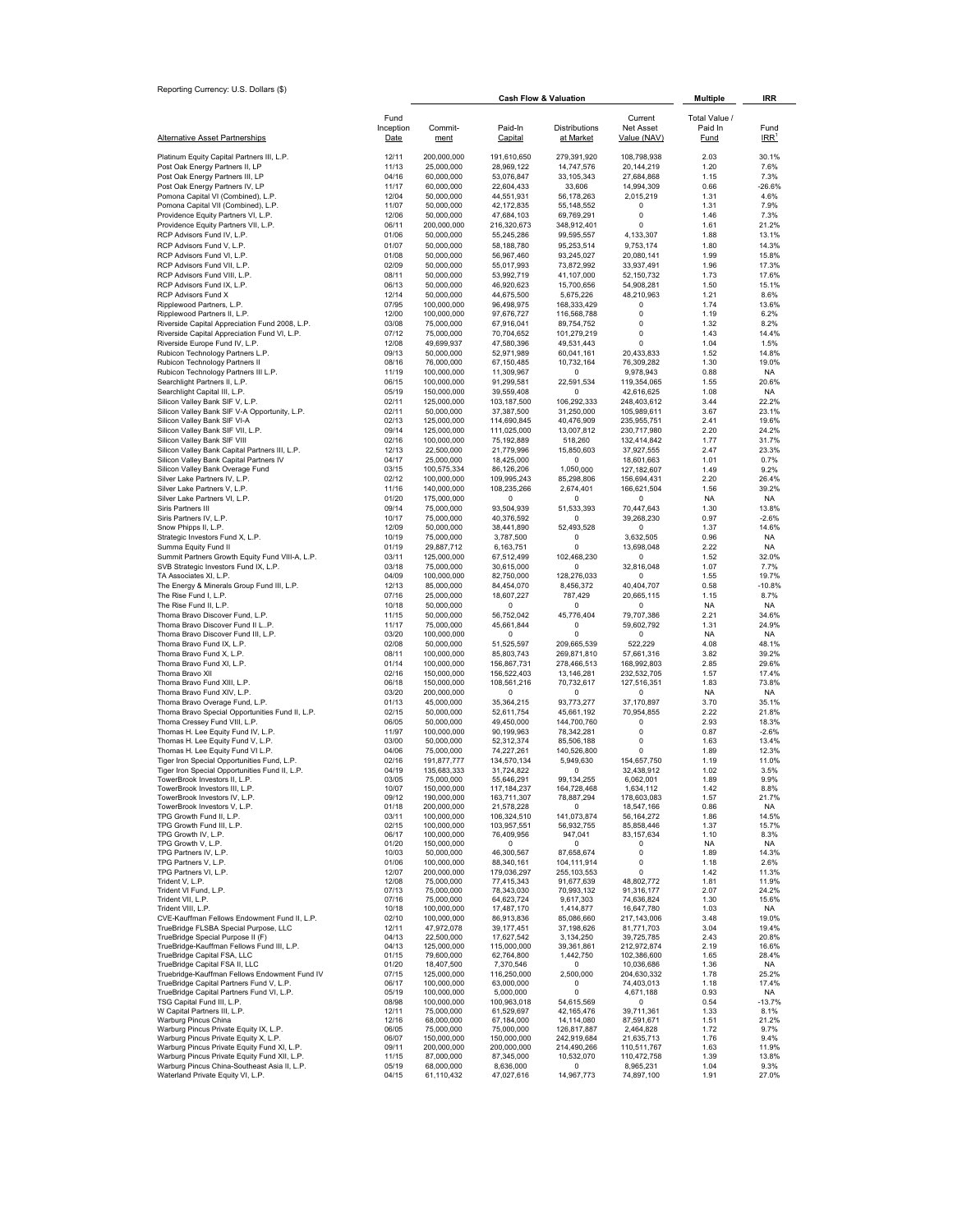|                                                                                              |                |                            | <b>Cash Flow &amp; Valuation</b> |                           |                            | <b>Multiple</b> | <b>IRR</b>         |
|----------------------------------------------------------------------------------------------|----------------|----------------------------|----------------------------------|---------------------------|----------------------------|-----------------|--------------------|
|                                                                                              | Fund           |                            |                                  |                           | Current                    | Total Value /   |                    |
|                                                                                              | Inception      | Commit-                    | Paid-In                          | Distributions             | Net Asset                  | Paid In         | Fund               |
| <b>Alternative Asset Partnerships</b>                                                        | Date           | ment                       | Capital                          | at Market                 | Value (NAV)                | <b>Fund</b>     | $IRR$ <sup>1</sup> |
|                                                                                              | 12/11          |                            |                                  |                           |                            | 2.03            | 30.1%              |
| Platinum Equity Capital Partners III, L.P.<br>Post Oak Energy Partners II, LP                | 11/13          | 200,000,000<br>25,000,000  | 191,610,650<br>28,969,122        | 279,391,920<br>14,747,576 | 108,798,938<br>20,144,219  | 1.20            | 7.6%               |
| Post Oak Energy Partners III, LP                                                             | 04/16          | 60,000,000                 | 53,076,847                       | 33, 105, 343              | 27,684,868                 | 1.15            | 7.3%               |
| Post Oak Energy Partners IV, LP                                                              | 11/17          | 60,000,000                 | 22,604,433                       | 33,606                    | 14,994,309                 | 0.66            | $-26.6%$           |
| Pomona Capital VI (Combined), L.P.                                                           | 12/04          | 50,000,000                 | 44,551,931                       | 56,178,263                | 2,015,219                  | 1.31            | 4.6%               |
| Pomona Capital VII (Combined), L.P.                                                          | 11/07          | 50,000,000                 | 42,172,835                       | 55, 148, 552              | 0                          | 1.31            | 7.9%               |
| Providence Equity Partners VI, L.P.                                                          | 12/06          | 50,000,000                 | 47,684,103                       | 69,769,291                | $\mathbf 0$                | 1.46            | 7.3%               |
| Providence Equity Partners VII, L.P.                                                         | 06/11          | 200,000,000                | 216,320,673                      | 348,912,401               | 0                          | 1.61            | 21.2%              |
| RCP Advisors Fund IV, L.P.                                                                   | 01/06          | 50,000,000                 | 55,245,286                       | 99,595,557                | 4,133,307                  | 1.88            | 13.1%              |
| RCP Advisors Fund V, L.P.                                                                    | 01/07          | 50,000,000                 | 58,188,780                       | 95,253,514                | 9,753,174                  | 1.80            | 14.3%              |
| RCP Advisors Fund VI, L.P.                                                                   | 01/08          | 50,000,000                 | 56,967,460<br>55,017,993         | 93,245,027                | 20,080,141                 | 1.99            | 15.8%              |
| RCP Advisors Fund VII, L.P.<br>RCP Advisors Fund VIII. L.P.                                  | 02/09<br>08/11 | 50,000,000<br>50.000.000   | 53,992,719                       | 73,872,992                | 33,937,491                 | 1.96<br>1.73    | 17.3%<br>17.6%     |
| RCP Advisors Fund IX, L.P.                                                                   | 06/13          | 50,000,000                 | 46,920,623                       | 41,107,000<br>15,700,656  | 52, 150, 732<br>54,908,281 | 1.50            | 15.1%              |
| RCP Advisors Fund X                                                                          | 12/14          | 50,000,000                 | 44,675,500                       | 5,675,226                 | 48,210,963                 | 1.21            | 8.6%               |
| Ripplewood Partners, L.P.                                                                    | 07/95          | 100,000,000                | 96,498,975                       | 168,333,429               | 0                          | 1.74            | 13.6%              |
| Ripplewood Partners II, L.P.                                                                 | 12/00          | 100,000,000                | 97,676,727                       | 116,568,788               | 0                          | 1.19            | 6.2%               |
| Riverside Capital Appreciation Fund 2008, L.P.                                               | 03/08          | 75,000,000                 | 67,916,041                       | 89,754,752                | 0                          | 1.32            | 8.2%               |
| Riverside Capital Appreciation Fund VI, L.P.                                                 | 07/12          | 75,000,000                 | 70,704,652                       | 101,279,219               | 0                          | 1.43            | 14.4%              |
| Riverside Europe Fund IV, L.P.                                                               | 12/08          | 49,699,937                 | 47,580,396                       | 49,531,443                | 0                          | 1.04            | 1.5%               |
| Rubicon Technology Partners L.P.                                                             | 09/13          | 50,000,000                 | 52,971,989                       | 60,041,161                | 20,433,833                 | 1.52            | 14.8%              |
| Rubicon Technology Partners II                                                               | 08/16          | 76,000,000                 | 67,150,485                       | 10,732,164                | 76,309,282                 | 1.30            | 19.0%              |
| Rubicon Technology Partners III L.P.                                                         | 11/19          | 100,000,000                | 11,309,967                       | 0                         | 9,978,943                  | 0.88            | NA                 |
| Searchlight Partners II, L.P.                                                                | 06/15          | 100,000,000                | 91,299,581                       | 22,591,534                | 119,354,065                | 1.55            | 20.6%              |
| Searchlight Capital III, L.P.                                                                | 05/19          | 150,000,000                | 39,559,408                       | 0                         | 42,616,625                 | 1.08            | NA.                |
| Silicon Valley Bank SIF V, L.P.                                                              | 02/11          | 125,000,000                | 103,187,500                      | 106,292,333               | 248,403,612                | 3.44            | 22.2%              |
| Silicon Valley Bank SIF V-A Opportunity, L.P.                                                | 02/11          | 50,000,000                 | 37,387,500                       | 31,250,000                | 105,989,611                | 3.67            | 23.1%              |
| Silicon Valley Bank SIF VI-A                                                                 | 02/13          | 125,000,000                | 114,690,845                      | 40,476,909                | 235,955,751                | 2.41            | 19.6%              |
| Silicon Valley Bank SIF VII, L.P.<br>Silicon Valley Bank SIF VIII                            | 09/14<br>02/16 | 125,000,000<br>100,000,000 | 111,025,000<br>75,192,889        | 13,007,812<br>518,260     | 230,717,980<br>132,414,842 | 2.20<br>1.77    | 24.2%<br>31.7%     |
| Silicon Valley Bank Capital Partners III, L.P.                                               | 12/13          | 22,500,000                 | 21,779,996                       | 15,850,603                | 37,927,555                 | 2.47            | 23.3%              |
| Silicon Valley Bank Capital Partners IV                                                      | 04/17          | 25,000,000                 | 18,425,000                       | 0                         | 18,601,663                 | 1.01            | 0.7%               |
| Silicon Valley Bank Overage Fund                                                             | 03/15          | 100,575,334                | 86,126,206                       | 1,050,000                 | 127,182,607                | 1.49            | 9.2%               |
| Silver Lake Partners IV, L.P.                                                                | 02/12          | 100,000,000                | 109,995,243                      | 85,298,806                | 156,694,431                | 2.20            | 26.4%              |
| Silver Lake Partners V, L.P.                                                                 | 11/16          | 140,000,000                | 108,235,266                      | 2,674,401                 | 166,621,504                | 1.56            | 39.2%              |
| Silver Lake Partners VI, L.P.                                                                | 01/20          | 175,000,000                | 0                                | 0                         | 0                          | <b>NA</b>       | <b>NA</b>          |
| Siris Partners III                                                                           | 09/14          | 75,000,000                 | 93,504,939                       | 51,533,393                | 70,447,643                 | 1.30            | 13.8%              |
| Siris Partners IV, L.P.                                                                      | 10/17          | 75,000,000                 | 40,376,592                       | 0                         | 39,268,230                 | 0.97            | $-2.6%$            |
| Snow Phipps II, L.P.                                                                         | 12/09          | 50,000,000                 | 38,441,890                       | 52,493,528                | 0                          | 1.37            | 14.6%              |
| Strategic Investors Fund X, L.P.                                                             | 10/19          | 75,000,000                 | 3,787,500                        | 0                         | 3,632,505                  | 0.96            | <b>NA</b>          |
| Summa Equity Fund II                                                                         | 01/19          | 29,887,712                 | 6,163,751                        | 0                         | 13,698,048                 | 2.22            | <b>NA</b>          |
| Summit Partners Growth Equity Fund VIII-A, L.P.<br>SVB Strategic Investors Fund IX, L.P.     | 03/11          | 125,000,000                | 67,512,499                       | 102,468,230<br>0          | 0<br>32,816,048            | 1.52<br>1.07    | 32.0%<br>7.7%      |
| TA Associates XI, L.P.                                                                       | 03/18<br>04/09 | 75,000,000<br>100,000,000  | 30,615,000<br>82,750,000         | 128,276,033               | 0                          | 1.55            | 19.7%              |
| The Energy & Minerals Group Fund III, L.P.                                                   | 12/13          | 85,000,000                 | 84,454,070                       | 8,456,372                 | 40,404,707                 | 0.58            | $-10.8%$           |
| The Rise Fund I, L.P.                                                                        | 07/16          | 25,000,000                 | 18,607,227                       | 787,429                   | 20,665,115                 | 1.15            | 8.7%               |
| The Rise Fund II, L.P.                                                                       | 10/18          | 50,000,000                 | 0                                | 0                         | 0                          | <b>NA</b>       | <b>NA</b>          |
| Thoma Bravo Discover Fund, L.P.                                                              | 11/15          | 50,000,000                 | 56,752,042                       | 45,776,404                | 79,707,386                 | 2.21            | 34.6%              |
| Thoma Bravo Discover Fund II LP.                                                             | 11/17          | 75,000,000                 | 45,661,844                       | 0                         | 59,602,792                 | 1.31            | 24.9%              |
| Thoma Bravo Discover Fund III, L.P.                                                          | 03/20          | 100,000,000                | 0                                | 0                         | 0                          | <b>NA</b>       | <b>NA</b>          |
| Thoma Bravo Fund IX, L.P.                                                                    | 02/08          | 50,000,000                 | 51,525,597                       | 209,665,539               | 522,229                    | 4.08            | 48.1%              |
| Thoma Bravo Fund X, L.P.                                                                     | 08/11          | 100,000,000                | 85,803,743                       | 269,871,810               | 57,661,316                 | 3.82            | 39.2%              |
| Thoma Bravo Fund XI, L.P.                                                                    | 01/14          | 100,000,000                | 156,867,731                      | 278,466,513               | 168,992,803                | 2.85            | 29.6%              |
| Thoma Bravo XII                                                                              | 02/16          | 150,000,000                | 156,522,403                      | 13,146,281                | 232,532,705                | 1.57            | 17.4%              |
| Thoma Bravo Fund XIII, L.P.                                                                  | 06/18          | 150,000,000                | 108,561,216                      | 70,732,617                | 127,516,351                | 1.83            | 73.8%              |
| Thoma Bravo Fund XIV, L.P.                                                                   | 03/20          | 200,000,000                | $^{\circ}$                       | 0                         | 0                          | <b>NA</b>       | NA.                |
| Thoma Bravo Overage Fund, L.P.                                                               | 01/13          | 45,000,000                 | 35,364,215                       | 93,773,277                | 37,170,897<br>70,954,855   | 3.70<br>2.22    | 35.1%              |
| Thoma Bravo Special Opportunities Fund II, L.P.<br>Thoma Cressey Fund VIII, L.P.             | 02/15<br>06/05 | 50,000,000<br>50,000,000   | 52,611,754<br>49,450,000         | 45,661,192<br>144,700,760 | $^{\circ}$                 | 2.93            | 21.8%<br>18.3%     |
| Thomas H. Lee Equity Fund IV, L.P.                                                           | 11/97          | 100,000,000                | 90,199,963                       | 78,342,281                | 0                          | 0.87            | $-2.6%$            |
| Thomas H. Lee Equity Fund V, L.P.                                                            | 03/00          | 50,000,000                 | 52,312,374                       | 85,506,188                | 0                          | 1.63            | 13.4%              |
| Thomas H. Lee Equity Fund VI L.P.                                                            | 04/06          | 75,000,000                 | 74,227,261                       | 140,526,800               | 0                          | 1.89            | 12.3%              |
| Tiger Iron Special Opportunities Fund, L.P.                                                  | 02/16          | 191,877,777                | 134,570,134                      | 5,949,630                 | 154,657,750                | 1.19            | 11.0%              |
| Tiger Iron Special Opportunities Fund II, L.P.                                               | 04/19          | 135,683,333                | 31,724,822                       | 0                         | 32,438,912                 | 1.02            | 3.5%               |
| TowerBrook Investors II, L.P.                                                                | 03/05          | 75,000,000                 | 55,646,291                       | 99, 134, 255              | 6,062,001                  | 1.89            | 9.9%               |
| TowerBrook Investors III, L.P                                                                | 10/07          | 150,000,000                | 117,184,237                      | 164,728,468               | 1,634,112                  | 1.42            | 8.8%               |
| TowerBrook Investors IV, L.P.<br>TowerBrook Investors V, L.P.                                | 09/12<br>01/18 | 190,000,000<br>200,000,000 | 163,711,307                      | 78,887,294<br>0           | 178,603,083<br>18,547,166  | 1.57<br>0.86    | 21.7%              |
| TPG Growth Fund II, L.P.                                                                     | 03/11          | 100,000,000                | 21,578,228<br>106,324,510        | 141,073,874               | 56, 164, 272               | 1.86            | NA.<br>14.5%       |
| TPG Growth Fund III, L.P.                                                                    | 02/15          | 100,000,000                | 103,957,551                      | 56,932,755                | 85,858,446                 | 1.37            | 15.7%              |
| TPG Growth IV, L.P.                                                                          | 06/17          | 100,000,000                | 76,409,956                       | 947,041                   | 83, 157, 634               | 1.10            | 8.3%               |
| TPG Growth V, L.P.                                                                           | 01/20          | 150,000,000                | $^{\circ}$                       | 0                         | 0                          | NA.             | NA.                |
| TPG Partners IV, L.P.                                                                        | 10/03          | 50,000,000                 | 46,300,567                       | 87,658,674                | 0                          | 1.89            | 14.3%              |
| TPG Partners V, L.P.                                                                         | 01/06          | 100,000,000                | 88,340,161                       | 104,111,914               | 0                          | 1.18            | 2.6%               |
| TPG Partners VI, L.P.                                                                        | 12/07          | 200,000,000                | 179,036,297                      | 255, 103, 553             | 0                          | 1.42            | 11.3%              |
| Trident V, L.P.<br>Trident VI Fund, L.P.                                                     | 12/08<br>07/13 | 75,000,000                 | 77,415,343                       | 91,677,639                | 48,802,772                 | 1.81            | 11.9%              |
| Trident VII, L.P.                                                                            | 07/16          | 75,000,000<br>75,000,000   | 78,343,030<br>64,623,724         | 70,993,132<br>9,617,303   | 91,316,177<br>74,636,824   | 2.07<br>1.30    | 24.2%<br>15.6%     |
| Trident VIII, L.P.                                                                           | 10/18          | 100,000,000                | 17,487,170                       | 1,414,877                 | 16,647,780                 | 1.03            | <b>NA</b>          |
| CVE-Kauffman Fellows Endowment Fund II, L.P.                                                 | 02/10          | 100,000,000                | 86,913,836                       | 85,086,660                | 217,143,006                | 3.48            | 19.0%              |
| TrueBridge FLSBA Special Purpose, LLC                                                        | 12/11          | 47,972,078                 | 39, 177, 451                     | 37,198,626                | 81,771,703                 | 3.04            | 19.4%              |
| TrueBridge Special Purpose II (F)                                                            | 04/13          | 22,500,000                 | 17,627,542                       | 3,134,250                 | 39,725,785                 | 2.43            | 20.8%              |
| TrueBridge-Kauffman Fellows Fund III, L.P.                                                   | 04/13          | 125,000,000                | 115,000,000                      | 39,361,861                | 212,972,874                | 2.19            | 16.6%              |
| TrueBridge Capital FSA, LLC                                                                  | 01/15          | 79,600,000                 | 62,764,800                       | 1,442,750                 | 102,386,600                | 1.65            | 28.4%              |
| TrueBridge Capital FSA II, LLC                                                               | 01/20          | 18,407,500                 | 7,370,546                        | 0                         | 10,036,686                 | 1.36            | NA.                |
| Truebridge-Kauffman Fellows Endowment Fund IV<br>TrueBridge Capital Partners Fund V, L.P.    | 07/15<br>06/17 | 125,000,000                | 116,250,000<br>63,000,000        | 2,500,000<br>0            | 204,630,332<br>74,403,013  | 1.78            | 25.2%<br>17.4%     |
| TrueBridge Capital Partners Fund VI, L.P.                                                    | 05/19          | 100,000,000<br>100,000,000 | 5,000,000                        | 0                         | 4,671,188                  | 1.18<br>0.93    | NA.                |
| TSG Capital Fund III, L.P.                                                                   | 08/98          | 100,000,000                | 100,963,018                      | 54,615,569                | 0                          | 0.54            | $-13.7%$           |
| W Capital Partners III, L.P.                                                                 | 12/11          | 75,000,000                 | 61,529,697                       | 42, 165, 476              | 39,711,361                 | 1.33            | 8.1%               |
| Warburg Pincus China                                                                         | 12/16          | 68,000,000                 | 67,184,000                       | 14,114,080                | 87,591,671                 | 1.51            | 21.2%              |
| Warburg Pincus Private Equity IX, L.P.                                                       | 06/05          | 75,000,000                 | 75,000,000                       | 126,817,887               | 2,464,828                  | 1.72            | 9.7%               |
| Warburg Pincus Private Equity X, L.P.                                                        | 06/07          | 150,000,000                | 150,000,000                      | 242,919,684               | 21,635,713                 | 1.76            | 9.4%               |
| Warburg Pincus Private Equity Fund XI, L.P.                                                  | 09/11          | 200,000,000                | 200,000,000                      | 214,490,266               | 110,511,767                | 1.63            | 11.9%              |
| Warburg Pincus Private Equity Fund XII, L.P.<br>Warburg Pincus China-Southeast Asia II, L.P. | 11/15<br>05/19 | 87,000,000<br>68,000,000   | 87,345,000<br>8,636,000          | 10,532,070<br>0           | 110,472,758<br>8,965,231   | 1.39<br>1.04    | 13.8%<br>9.3%      |
| Waterland Private Equity VI, L.P.                                                            | 04/15          | 61,110,432                 | 47,027,616                       | 14,967,773                | 74,897,100                 | 1.91            | 27.0%              |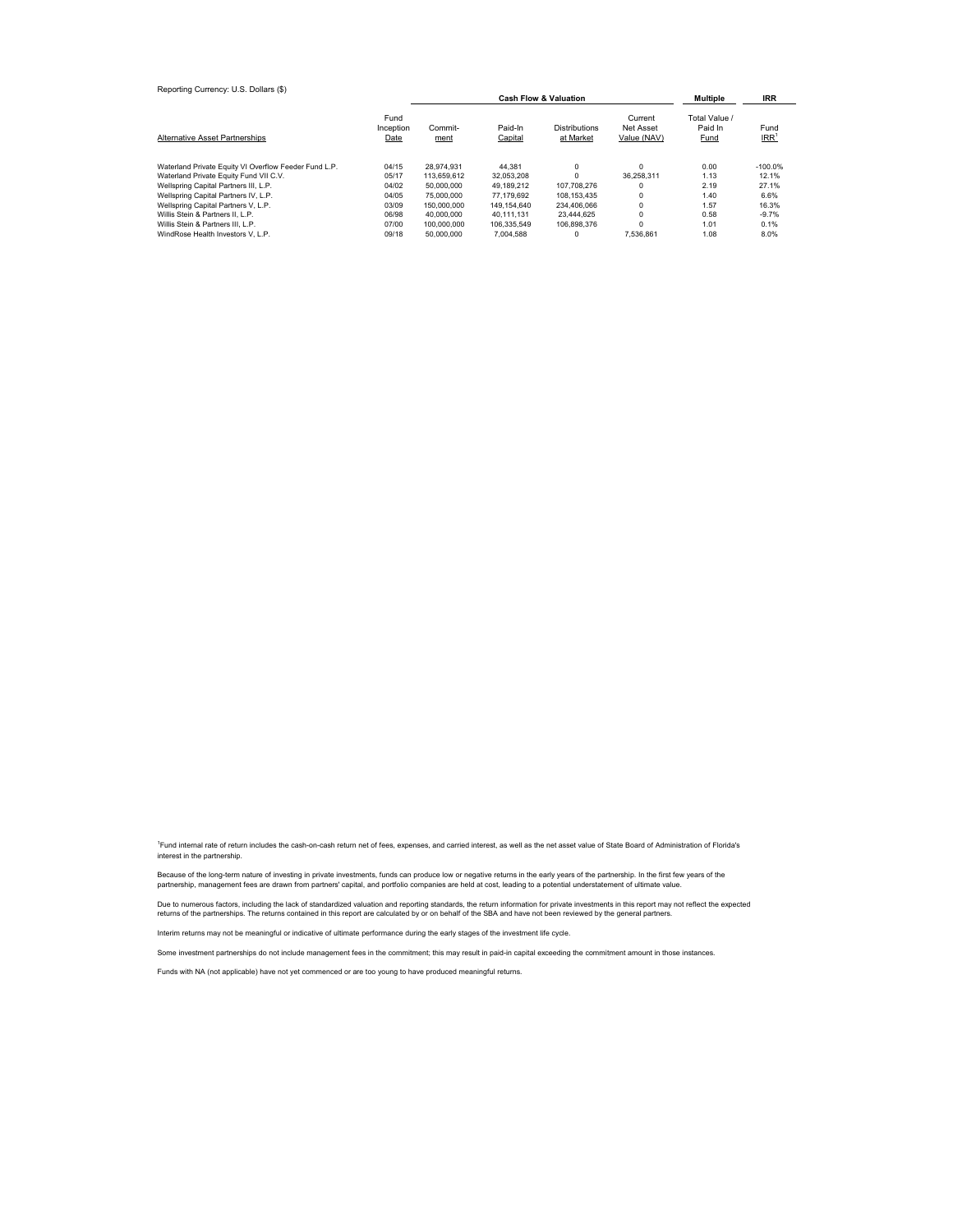| Reporting Currency: U.S. Dollars (\$)                 |                           | <b>Multiple</b> | IRR                |                                   |                                     |                                  |                          |
|-------------------------------------------------------|---------------------------|-----------------|--------------------|-----------------------------------|-------------------------------------|----------------------------------|--------------------------|
| <b>Alternative Asset Partnerships</b>                 | Fund<br>Inception<br>Date | Commit-<br>ment | Paid-In<br>Capital | <b>Distributions</b><br>at Market | Current<br>Net Asset<br>Value (NAV) | Total Value /<br>Paid In<br>Fund | Fund<br>IRR <sup>1</sup> |
| Waterland Private Equity VI Overflow Feeder Fund L.P. | 04/15                     | 28.974.931      | 44.381             | 0                                 | $\Omega$                            | 0.00                             | $-100.0%$                |
| Waterland Private Equity Fund VII C.V.                | 05/17                     | 113.659.612     | 32.053.208         |                                   | 36.258.311                          | 1.13                             | 12.1%                    |
| Wellspring Capital Partners III, L.P.                 | 04/02                     | 50,000,000      | 49.189.212         | 107.708.276                       | $\Omega$                            | 2.19                             | 27.1%                    |
| Wellspring Capital Partners IV, L.P.                  | 04/05                     | 75,000,000      | 77.179.692         | 108.153.435                       | $\Omega$                            | 1.40                             | 6.6%                     |
| Wellspring Capital Partners V, L.P.                   | 03/09                     | 150,000,000     | 149.154.640        | 234.406.066                       | $\Omega$                            | 1.57                             | 16.3%                    |
| Willis Stein & Partners II. L.P.                      | 06/98                     | 40.000.000      | 40.111.131         | 23.444.625                        | 0                                   | 0.58                             | $-9.7%$                  |
| Willis Stein & Partners III, L.P.                     | 07/00                     | 100.000.000     | 106.335.549        | 106.898.376                       | $\Omega$                            | 1.01                             | 0.1%                     |
| WindRose Health Investors V. L.P.                     | 09/18                     | 50,000,000      | 7.004.588          |                                   | 7.536.861                           | 1.08                             | 8.0%                     |

<sup>1</sup>Fund internal rate of return includes the cash-on-cash return net of fees, expenses, and carried interest, as well as the net asset value of State Board of Administration of Florida's interest in the partnership.

Because of the long-term nature of investing in private investments, funds can produce low or negative returns in the early years of the partnership. In the first few years of the<br>partnership, management fees are drawn fro

Due to numerous factors, including the lack of standardized valuation and reporting standards, the return information for private investments in this report may not reflect the expected returns of the partnerships. The returns contained in this report are calculated by or on behalf of the SBA and have not been reviewed by the general partners.

Interim returns may not be meaningful or indicative of ultimate performance during the early stages of the investment life cycle.

Some investment partnerships do not include management fees in the commitment; this may result in paid-in capital exceeding the commitment amount in those instances.

Funds with NA (not applicable) have not yet commenced or are too young to have produced meaningful returns.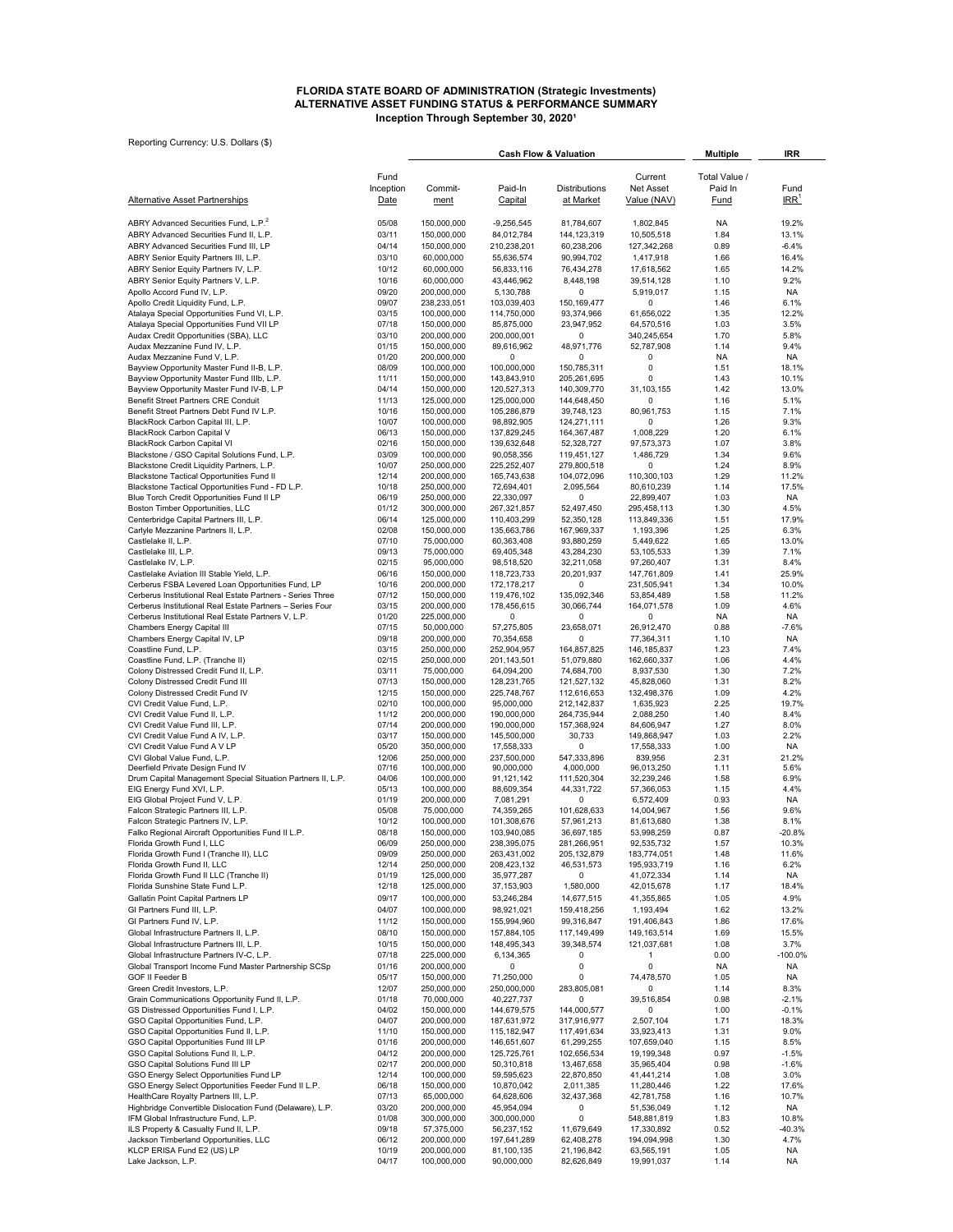#### **ALTERNATIVE ASSET FUNDING STATUS & PERFORMANCE SUMMARY Inception Through September 30, 2020<sup>1</sup> FLORIDA STATE BOARD OF ADMINISTRATION (Strategic Investments)**

| Reporting Currency: U.S. Dollars (\$)                                                                            |                |                            | <b>Cash Flow &amp; Valuation</b> | <b>Multiple</b>              | IRR                       |                   |                    |
|------------------------------------------------------------------------------------------------------------------|----------------|----------------------------|----------------------------------|------------------------------|---------------------------|-------------------|--------------------|
|                                                                                                                  | Fund           |                            |                                  |                              | Current                   | Total Value /     |                    |
|                                                                                                                  | Inception      | Commit-                    | Paid-In                          | Distributions                | Net Asset                 | Paid In           | Fund<br>IRR        |
| <b>Alternative Asset Partnerships</b>                                                                            | Date           | ment                       | Capital                          | <u>at Market</u>             | Value (NAV)               | Fund              |                    |
| ABRY Advanced Securities Fund, L.P. <sup>2</sup>                                                                 | 05/08          | 150,000,000                | $-9,256,545$                     | 81,784,607                   | 1,802,845                 | <b>NA</b>         | 19.2%              |
| ABRY Advanced Securities Fund II, L.P.<br>ABRY Advanced Securities Fund III, LP                                  | 03/11<br>04/14 | 150,000,000<br>150,000,000 | 84,012,784<br>210,238,201        | 144, 123, 319<br>60,238,206  | 10,505,518<br>127,342,268 | 1.84<br>0.89      | 13.1%<br>$-6.4%$   |
| ABRY Senior Equity Partners III, L.P.                                                                            | 03/10          | 60,000,000                 | 55,636,574                       | 90,994,702                   | 1,417,918                 | 1.66              | 16.4%              |
| ABRY Senior Equity Partners IV, L.P.                                                                             | 10/12          | 60,000,000                 | 56,833,116                       | 76,434,278                   | 17,618,562                | 1.65              | 14.2%              |
| ABRY Senior Equity Partners V, L.P.                                                                              | 10/16          | 60,000,000                 | 43,446,962                       | 8,448,198                    | 39,514,128                | 1.10              | 9.2%               |
| Apollo Accord Fund IV, L.P.<br>Apollo Credit Liquidity Fund, L.P.                                                | 09/20<br>09/07 | 200,000,000<br>238,233,051 | 5,130,788<br>103,039,403         | 0<br>150,169,477             | 5,919,017<br>0            | 1.15<br>1.46      | NA<br>6.1%         |
| Atalaya Special Opportunities Fund VI, L.P.                                                                      | 03/15          | 100,000,000                | 114,750,000                      | 93,374,966                   | 61,656,022                | 1.35              | 12.2%              |
| Atalaya Special Opportunities Fund VII LP                                                                        | 07/18          | 150,000,000                | 85,875,000                       | 23,947,952                   | 64,570,516                | 1.03              | 3.5%               |
| Audax Credit Opportunities (SBA), LLC<br>Audax Mezzanine Fund IV, L.P.                                           | 03/10<br>01/15 | 200,000,000<br>150,000,000 | 200,000,001<br>89,616,962        | $\Omega$<br>48,971,776       | 340,245,654<br>52,787,908 | 1.70<br>1.14      | 5.8%<br>9.4%       |
| Audax Mezzanine Fund V, L.P.                                                                                     | 01/20          | 200,000,000                | 0                                | 0                            | 0                         | <b>NA</b>         | NA.                |
| Bayview Opportunity Master Fund II-B, L.P.                                                                       | 08/09          | 100,000,000                | 100,000,000                      | 150,785,311                  | 0                         | 1.51              | 18.1%              |
| Bayview Opportunity Master Fund IIIb, L.P.<br>Bayview Opportunity Master Fund IV-B, L.P                          | 11/11<br>04/14 | 150,000,000<br>150,000,000 | 143,843,910<br>120,527,313       | 205,261,695<br>140,309,770   | 0<br>31,103,155           | 1.43<br>1.42      | 10.1%<br>13.0%     |
| Benefit Street Partners CRE Conduit                                                                              | 11/13          | 125,000,000                | 125,000,000                      | 144,648,450                  | 0                         | 1.16              | 5.1%               |
| Benefit Street Partners Debt Fund IV L.P.                                                                        | 10/16          | 150,000,000                | 105,286,879                      | 39,748,123                   | 80,961,753                | 1.15              | 7.1%               |
| BlackRock Carbon Capital III, L.P.<br><b>BlackRock Carbon Capital V</b>                                          | 10/07<br>06/13 | 100,000,000<br>150,000,000 | 98,892,905<br>137,829,245        | 124,271,111<br>164,367,487   | 0<br>1,008,229            | 1.26<br>1.20      | 9.3%<br>6.1%       |
| <b>BlackRock Carbon Capital VI</b>                                                                               | 02/16          | 150,000,000                | 139,632,648                      | 52,328,727                   | 97,573,373                | 1.07              | 3.8%               |
| Blackstone / GSO Capital Solutions Fund, L.P.                                                                    | 03/09          | 100,000,000                | 90,058,356                       | 119,451,127                  | 1,486,729                 | 1.34              | 9.6%               |
| Blackstone Credit Liquidity Partners, L.P.                                                                       | 10/07          | 250,000,000                | 225,252,407                      | 279,800,518                  | 0                         | 1.24              | 8.9%               |
| Blackstone Tactical Opportunities Fund II<br>Blackstone Tactical Opportunities Fund - FD L.P.                    | 12/14<br>10/18 | 200,000,000<br>250,000,000 | 165,743,638<br>72,694,401        | 104,072,096<br>2,095,564     | 110,300,103<br>80,610,239 | 1.29<br>1.14      | 11.2%<br>17.5%     |
| Blue Torch Credit Opportunities Fund II LP                                                                       | 06/19          | 250,000,000                | 22,330,097                       | 0                            | 22,899,407                | 1.03              | NA                 |
| Boston Timber Opportunities, LLC                                                                                 | 01/12          | 300,000,000                | 267,321,857                      | 52,497,450                   | 295,458,113               | 1.30              | 4.5%               |
| Centerbridge Capital Partners III, L.P.<br>Carlyle Mezzanine Partners II, L.P.                                   | 06/14<br>02/08 | 125,000,000<br>150,000,000 | 110,403,299<br>135,663,786       | 52,350,128<br>167,969,337    | 113,849,336<br>1,193,396  | 1.51<br>1.25      | 17.9%<br>6.3%      |
| Castlelake II, L.P.                                                                                              | 07/10          | 75,000,000                 | 60,363,408                       | 93,880,259                   | 5,449,622                 | 1.65              | 13.0%              |
| Castlelake III, L.P.                                                                                             | 09/13          | 75,000,000                 | 69,405,348                       | 43,284,230                   | 53,105,533                | 1.39              | 7.1%               |
| Castlelake IV, L.P.<br>Castlelake Aviation III Stable Yield, L.P.                                                | 02/15<br>06/16 | 95,000,000<br>150,000,000  | 98,518,520<br>118,723,733        | 32,211,058<br>20,201,937     | 97,260,407<br>147,761,809 | 1.31<br>1.41      | 8.4%<br>25.9%      |
| Cerberus FSBA Levered Loan Opportunities Fund, LP                                                                | 10/16          | 200,000,000                | 172, 178, 217                    | 0                            | 231,505,941               | 1.34              | 10.0%              |
| Cerberus Institutional Real Estate Partners - Series Three                                                       | 07/12          | 150,000,000                | 119,476,102                      | 135,092,346                  | 53,854,489                | 1.58              | 11.2%              |
| Cerberus Institutional Real Estate Partners - Series Four<br>Cerberus Institutional Real Estate Partners V, L.P. | 03/15<br>01/20 | 200,000,000<br>225,000,000 | 178,456,615<br>0                 | 30,066,744<br>0              | 164,071,578<br>0          | 1.09<br><b>NA</b> | 4.6%<br>NA         |
| Chambers Energy Capital III                                                                                      | 07/15          | 50,000,000                 | 57,275,805                       | 23,658,071                   | 26,912,470                | 0.88              | $-7.6%$            |
| Chambers Energy Capital IV, LP                                                                                   | 09/18          | 200,000,000                | 70,354,658                       | 0                            | 77,364,311                | 1.10              | <b>NA</b>          |
| Coastline Fund, L.P.                                                                                             | 03/15          | 250,000,000                | 252,904,957                      | 164,857,825                  | 146,185,837               | 1.23<br>1.06      | 7.4%               |
| Coastline Fund, L.P. (Tranche II)<br>Colony Distressed Credit Fund II, L.P.                                      | 02/15<br>03/11 | 250,000,000<br>75,000,000  | 201,143,501<br>64,094,200        | 51,079,880<br>74,684,700     | 162,660,337<br>8,937,530  | 1.30              | 4.4%<br>7.2%       |
| Colony Distressed Credit Fund III                                                                                | 07/13          | 150,000,000                | 128,231,765                      | 121,527,132                  | 45,828,060                | 1.31              | 8.2%               |
| Colony Distressed Credit Fund IV                                                                                 | 12/15          | 150,000,000                | 225,748,767                      | 112,616,653                  | 132,498,376               | 1.09              | 4.2%               |
| CVI Credit Value Fund, L.P.<br>CVI Credit Value Fund II, L.P.                                                    | 02/10<br>11/12 | 100,000,000<br>200,000,000 | 95,000,000<br>190,000,000        | 212, 142, 837<br>264,735,944 | 1,635,923<br>2,088,250    | 2.25<br>1.40      | 19.7%<br>8.4%      |
| CVI Credit Value Fund III, L.P.                                                                                  | 07/14          | 200,000,000                | 190,000,000                      | 157,368,924                  | 84,606,947                | 1.27              | 8.0%               |
| CVI Credit Value Fund A IV, L.P.                                                                                 | 03/17          | 150,000,000                | 145,500,000                      | 30,733                       | 149,868,947               | 1.03              | 2.2%               |
| CVI Credit Value Fund A V LP<br>CVI Global Value Fund, L.P.                                                      | 05/20<br>12/06 | 350,000,000<br>250,000,000 | 17,558,333<br>237,500,000        | 0<br>547,333,896             | 17,558,333<br>839,956     | 1.00<br>2.31      | NA<br>21.2%        |
| Deerfield Private Design Fund IV                                                                                 | 07/16          | 100,000,000                | 90,000,000                       | 4,000,000                    | 96,013,250                | 1.11              | 5.6%               |
| Drum Capital Management Special Situation Partners II, L.P.                                                      | 04/06          | 100,000,000                | 91,121,142                       | 111,520,304                  | 32,239,246                | 1.58              | 6.9%               |
| EIG Energy Fund XVI, L.P.<br>EIG Global Project Fund V, L.P.                                                     | 05/13<br>01/19 | 100,000,000<br>200,000,000 | 88,609,354<br>7,081,291          | 44,331,722<br>$\Omega$       | 57,366,053<br>6,572,409   | 1.15<br>0.93      | 4.4%<br><b>NA</b>  |
| Falcon Strategic Partners III, L.P.                                                                              | 05/08          | 75,000,000                 | 74,359,265                       | 101,628,633                  | 14,004,967                | 1.56              | 9.6%               |
| Falcon Strategic Partners IV, L.P.                                                                               | 10/12          | 100,000,000                | 101,308,676                      | 57,961,213                   | 81,613,680                | 1.38              | 8.1%               |
| Falko Regional Aircraft Opportunities Fund II L.P.<br>Florida Growth Fund I, LLC                                 | 08/18<br>06/09 | 150,000,000<br>250,000,000 | 103,940,085<br>238,395,075       | 36,697,185<br>281,266,951    | 53,998,259<br>92,535,732  | 0.87<br>1.57      | -20.8%<br>10.3%    |
| Florida Growth Fund I (Tranche II), LLC                                                                          | 09/09          | 250,000,000                | 263,431,002                      | 205, 132, 879                | 183,774,051               | 1.48              | 11.6%              |
| Florida Growth Fund II, LLC                                                                                      | 12/14          | 250,000,000                | 208,423,132                      | 46,531,573                   | 195,933,719               | 1.16              | 6.2%               |
| Florida Growth Fund II LLC (Tranche II)                                                                          | 01/19          | 125,000,000                | 35,977,287                       | 0                            | 41,072,334                | 1.14              | NA                 |
| Florida Sunshine State Fund L.P.<br>Gallatin Point Capital Partners LP                                           | 12/18<br>09/17 | 125,000,000<br>100,000,000 | 37, 153, 903<br>53,246,284       | 1,580,000<br>14,677,515      | 42,015,678<br>41,355,865  | 1.17<br>1.05      | 18.4%<br>4.9%      |
| GI Partners Fund III, L.P.                                                                                       | 04/07          | 100,000,000                | 98,921,021                       | 159,418,256                  | 1,193,494                 | 1.62              | 13.2%              |
| GI Partners Fund IV, L.P.                                                                                        | 11/12          | 150,000,000                | 155,994,960                      | 99,316,847                   | 191,406,843               | 1.86              | 17.6%              |
| Global Infrastructure Partners II, L.P.                                                                          | 08/10          | 150,000,000                | 157,884,105                      | 117,149,499                  | 149, 163, 514             | 1.69              | 15.5%              |
| Global Infrastructure Partners III, L.P.<br>Global Infrastructure Partners IV-C, L.P.                            | 10/15<br>07/18 | 150,000,000<br>225,000,000 | 148,495,343<br>6,134,365         | 39,348,574<br>0              | 121,037,681<br>1          | 1.08<br>0.00      | 3.7%<br>$-100.0%$  |
| Global Transport Income Fund Master Partnership SCSp                                                             | 01/16          | 200,000,000                | 0                                | 0                            | 0                         | NA                | NA                 |
| GOF II Feeder B                                                                                                  | 05/17          | 150,000,000                | 71,250,000                       | 0                            | 74,478,570                | 1.05              | <b>NA</b>          |
| Green Credit Investors, L.P.                                                                                     | 12/07          | 250,000,000                | 250,000,000                      | 283,805,081                  | 0                         | 1.14              | 8.3%               |
| Grain Communications Opportunity Fund II, L.P.<br>GS Distressed Opportunities Fund I, L.P.                       | 01/18<br>04/02 | 70,000,000<br>150,000,000  | 40,227,737<br>144,679,575        | 0<br>144,000,577             | 39,516,854<br>0           | 0.98<br>1.00      | $-2.1%$<br>$-0.1%$ |
| GSO Capital Opportunities Fund, L.P.                                                                             | 04/07          | 200,000,000                | 187,631,972                      | 317,916,977                  | 2,507,104                 | 1.71              | 18.3%              |
| GSO Capital Opportunities Fund II, L.P.                                                                          | 11/10          | 150,000,000                | 115, 182, 947                    | 117,491,634                  | 33,923,413                | 1.31              | 9.0%               |
| GSO Capital Opportunities Fund III LP<br>GSO Capital Solutions Fund II, L.P.                                     | 01/16<br>04/12 | 200,000,000<br>200,000,000 | 146,651,607<br>125,725,761       | 61,299,255<br>102,656,534    | 107,659,040<br>19,199,348 | 1.15<br>0.97      | 8.5%<br>$-1.5%$    |
| GSO Capital Solutions Fund III LP                                                                                | 02/17          | 200,000,000                | 50,310,818                       | 13,467,658                   | 35,965,404                | 0.98              | $-1.6%$            |
| GSO Energy Select Opportunities Fund LP                                                                          | 12/14          | 100,000,000                | 59,595,623                       | 22,870,850                   | 41,441,214                | 1.08              | 3.0%               |
| GSO Energy Select Opportunities Feeder Fund II L.P.<br>HealthCare Royalty Partners III, L.P.                     | 06/18<br>07/13 | 150,000,000<br>65,000,000  | 10,870,042<br>64,628,606         | 2,011,385<br>32,437,368      | 11,280,446<br>42,781,758  | 1.22<br>1.16      | 17.6%<br>10.7%     |
| Highbridge Convertible Dislocation Fund (Delaware), L.P.                                                         | 03/20          | 200,000,000                | 45,954,094                       | 0                            | 51,536,049                | 1.12              | <b>NA</b>          |
| IFM Global Infrastructure Fund, L.P.                                                                             | 01/08          | 300,000,000                | 300,000,000                      | 0                            | 548,881,819               | 1.83              | 10.8%              |
| ILS Property & Casualty Fund II, L.P.                                                                            | 09/18          | 57,375,000                 | 56,237,152                       | 11,679,649                   | 17,330,892                | 0.52              | $-40.3%$           |
| Jackson Timberland Opportunities, LLC<br>KLCP ERISA Fund E2 (US) LP                                              | 06/12<br>10/19 | 200,000,000<br>200,000,000 | 197,641,289<br>81,100,135        | 62,408,278<br>21,196,842     | 194,094,998<br>63,565,191 | 1.30<br>1.05      | 4.7%<br>NA         |
| Lake Jackson, L.P.                                                                                               | 04/17          | 100,000,000                | 90,000,000                       | 82,626,849                   | 19,991,037                | 1.14              | <b>NA</b>          |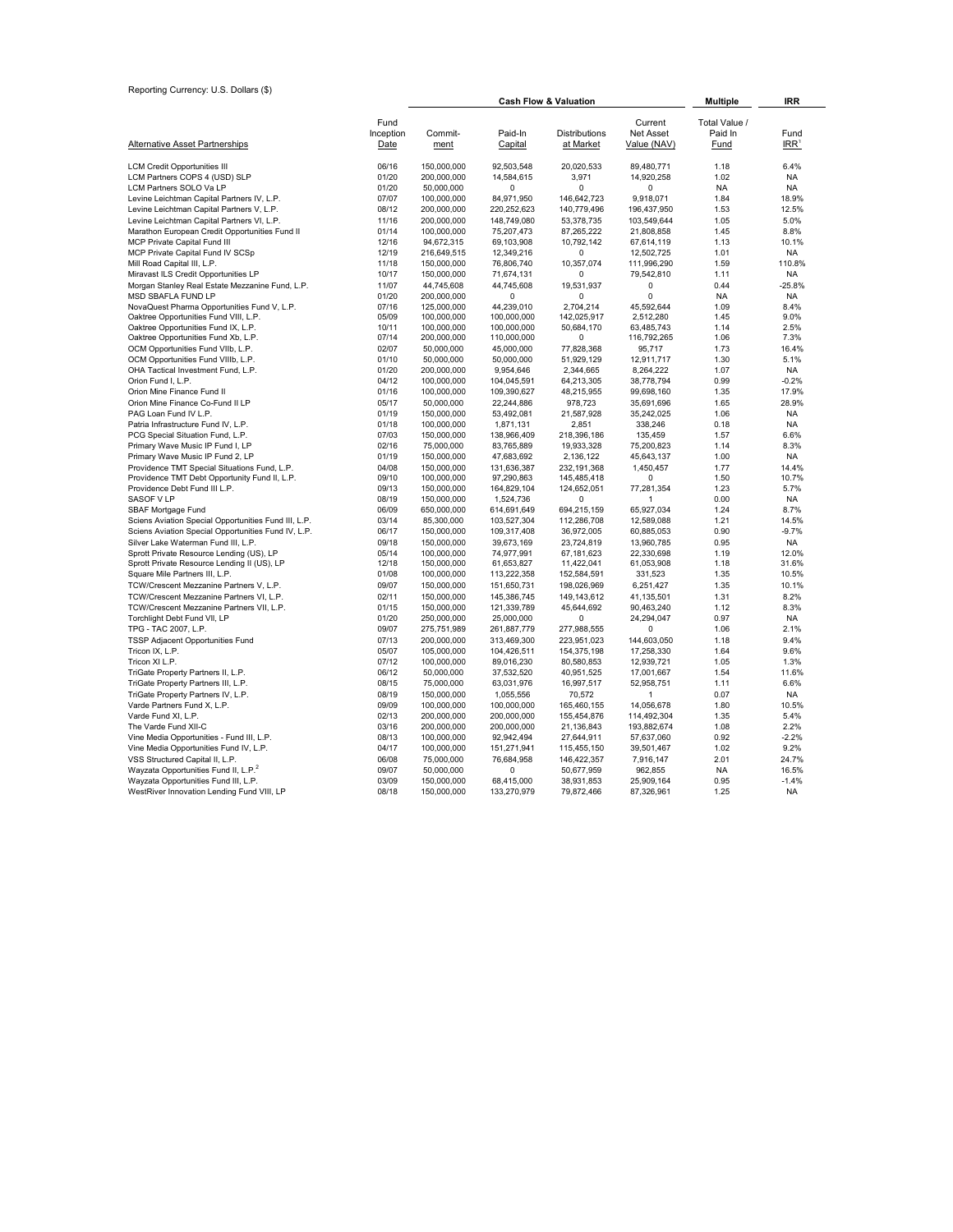| Reporting Currency: U.S. Dollars (\$)                                                |                   |                            |                            | <b>Cash Flow &amp; Valuation</b> |                           | <b>Multiple</b>          | <b>IRR</b>         |
|--------------------------------------------------------------------------------------|-------------------|----------------------------|----------------------------|----------------------------------|---------------------------|--------------------------|--------------------|
|                                                                                      |                   |                            |                            |                                  |                           |                          |                    |
|                                                                                      | Fund<br>Inception | Commit-                    | Paid-In                    | Distributions                    | Current<br>Net Asset      | Total Value /<br>Paid In | Fund               |
| <b>Alternative Asset Partnerships</b>                                                | Date              | ment                       | Capital                    | at Market                        | Value (NAV)               | Fund                     | IRR'               |
| <b>LCM Credit Opportunities III</b>                                                  | 06/16             | 150,000,000                | 92,503,548                 | 20,020,533                       | 89,480,771                | 1.18                     | 6.4%               |
| LCM Partners COPS 4 (USD) SLP                                                        | 01/20             | 200.000.000                | 14,584,615                 | 3,971                            | 14,920,258                | 1.02                     | <b>NA</b>          |
| LCM Partners SOLO Va LP                                                              | 01/20             | 50,000,000                 | $\Omega$                   | 0                                | $\Omega$                  | <b>NA</b>                | <b>NA</b>          |
| Levine Leichtman Capital Partners IV, L.P.                                           | 07/07             | 100,000,000                | 84,971,950                 | 146,642,723                      | 9,918,071                 | 1.84                     | 18.9%              |
| Levine Leichtman Capital Partners V, L.P.                                            | 08/12             | 200,000,000                | 220,252,623                | 140,779,496                      | 196,437,950               | 1.53                     | 12.5%              |
| Levine Leichtman Capital Partners VI, L.P.                                           | 11/16             | 200,000,000                | 148,749,080                | 53,378,735                       | 103,549,644               | 1.05                     | 5.0%               |
| Marathon European Credit Opportunities Fund II                                       | 01/14             | 100,000,000                | 75,207,473                 | 87,265,222                       | 21,808,858                | 1.45                     | 8.8%               |
| MCP Private Capital Fund III                                                         | 12/16             | 94,672,315                 | 69,103,908                 | 10,792,142                       | 67,614,119                | 1.13                     | 10.1%              |
| MCP Private Capital Fund IV SCSp                                                     | 12/19             | 216,649,515                | 12,349,216                 | $\Omega$                         | 12,502,725                | 1.01                     | NA                 |
| Mill Road Capital III, L.P.                                                          | 11/18             | 150,000,000                | 76,806,740                 | 10,357,074                       | 111,996,290               | 1.59                     | 110.8%             |
| Miravast ILS Credit Opportunities LP                                                 | 10/17             | 150,000,000                | 71,674,131                 | 0                                | 79,542,810                | 1.11                     | NA                 |
| Morgan Stanley Real Estate Mezzanine Fund, L.P.                                      | 11/07             | 44,745,608                 | 44,745,608                 | 19,531,937                       | $\mathbf 0$               | 0.44                     | $-25.8%$           |
| MSD SBAFLA FUND LP                                                                   | 01/20             | 200,000,000                | 0                          | 0                                | 0                         | <b>NA</b>                | <b>NA</b>          |
| NovaQuest Pharma Opportunities Fund V, L.P.<br>Oaktree Opportunities Fund VIII, L.P. | 07/16<br>05/09    | 125,000,000<br>100,000,000 | 44,239,010<br>100,000,000  | 2,704,214<br>142,025,917         | 45,592,644<br>2,512,280   | 1.09<br>1.45             | 8.4%<br>9.0%       |
| Oaktree Opportunities Fund IX, L.P.                                                  | 10/11             | 100.000.000                | 100,000,000                | 50,684,170                       | 63,485,743                | 1.14                     | 2.5%               |
| Oaktree Opportunities Fund Xb, L.P.                                                  | 07/14             | 200,000,000                | 110,000,000                | $\Omega$                         | 116,792,265               | 1.06                     | 7.3%               |
| OCM Opportunities Fund VIIb, L.P.                                                    | 02/07             | 50,000,000                 | 45,000,000                 | 77,828,368                       | 95,717                    | 1.73                     | 16.4%              |
| OCM Opportunities Fund VIIIb, L.P.                                                   | 01/10             | 50,000,000                 | 50,000,000                 | 51,929,129                       | 12,911,717                | 1.30                     | 5.1%               |
| OHA Tactical Investment Fund, L.P.                                                   | 01/20             | 200,000,000                | 9,954,646                  | 2,344,665                        | 8,264,222                 | 1.07                     | NA                 |
| Orion Fund I, L.P.                                                                   | 04/12             | 100,000,000                | 104,045,591                | 64,213,305                       | 38,778,794                | 0.99                     | $-0.2%$            |
| Orion Mine Finance Fund II                                                           | 01/16             | 100,000,000                | 109,390,627                | 48,215,955                       | 99,698,160                | 1.35                     | 17.9%              |
| Orion Mine Finance Co-Fund II LP                                                     | 05/17             | 50,000,000                 | 22,244,886                 | 978,723                          | 35,691,696                | 1.65                     | 28.9%              |
| PAG Loan Fund IV L.P.                                                                | 01/19             | 150,000,000                | 53,492,081                 | 21,587,928                       | 35,242,025                | 1.06                     | <b>NA</b>          |
| Patria Infrastructure Fund IV, L.P.                                                  | 01/18             | 100,000,000                | 1,871,131                  | 2,851                            | 338,246                   | 0.18                     | <b>NA</b>          |
| PCG Special Situation Fund, L.P.                                                     | 07/03             | 150,000,000                | 138,966,409                | 218,396,186                      | 135,459                   | 1.57                     | 6.6%               |
| Primary Wave Music IP Fund I, LP                                                     | 02/16             | 75,000,000                 | 83,765,889                 | 19,933,328                       | 75,200,823                | 1.14                     | 8.3%               |
| Primary Wave Music IP Fund 2, LP                                                     | 01/19             | 150,000,000                | 47,683,692                 | 2,136,122                        | 45,643,137                | 1.00                     | <b>NA</b>          |
| Providence TMT Special Situations Fund, L.P.                                         | 04/08             | 150,000,000                | 131,636,387                | 232, 191, 368                    | 1,450,457                 | 1.77                     | 14.4%              |
| Providence TMT Debt Opportunity Fund II, L.P.<br>Providence Debt Fund III L.P.       | 09/10<br>09/13    | 100,000,000<br>150,000,000 | 97,290,863                 | 145,485,418<br>124,652,051       | $\mathbf 0$<br>77,281,354 | 1.50<br>1.23             | 10.7%<br>5.7%      |
| SASOF V LP                                                                           | 08/19             | 150,000,000                | 164,829,104<br>1,524,736   | 0                                | $\mathbf{1}$              | 0.00                     | NA                 |
| SBAF Mortgage Fund                                                                   | 06/09             | 650,000,000                | 614,691,649                | 694,215,159                      | 65,927,034                | 1.24                     | 8.7%               |
| Sciens Aviation Special Opportunities Fund III, L.P.                                 | 03/14             | 85,300,000                 | 103,527,304                | 112,286,708                      | 12,589,088                | 1.21                     | 14.5%              |
| Sciens Aviation Special Opportunities Fund IV, L.P.                                  | 06/17             | 150,000,000                | 109,317,408                | 36,972,005                       | 60,885,053                | 0.90                     | $-9.7%$            |
| Silver Lake Waterman Fund III, L.P.                                                  | 09/18             | 150,000,000                | 39,673,169                 | 23,724,819                       | 13,960,785                | 0.95                     | <b>NA</b>          |
| Sprott Private Resource Lending (US), LP                                             | 05/14             | 100,000,000                | 74,977,991                 | 67,181,623                       | 22,330,698                | 1.19                     | 12.0%              |
| Sprott Private Resource Lending II (US), LP                                          | 12/18             | 150,000,000                | 61,653,827                 | 11,422,041                       | 61,053,908                | 1.18                     | 31.6%              |
| Square Mile Partners III, L.P.                                                       | 01/08             | 100,000,000                | 113,222,358                | 152,584,591                      | 331,523                   | 1.35                     | 10.5%              |
| TCW/Crescent Mezzanine Partners V, L.P.                                              | 09/07             | 150,000,000                | 151,650,731                | 198,026,969                      | 6,251,427                 | 1.35                     | 10.1%              |
| TCW/Crescent Mezzanine Partners VI, L.P.                                             | 02/11             | 150,000,000                | 145,386,745                | 149, 143, 612                    | 41,135,501                | 1.31                     | 8.2%               |
| TCW/Crescent Mezzanine Partners VII, L.P.                                            | 01/15             | 150,000,000                | 121,339,789                | 45,644,692                       | 90,463,240                | 1.12                     | 8.3%               |
| Torchlight Debt Fund VII, LP                                                         | 01/20             | 250,000,000                | 25,000,000                 | $\Omega$                         | 24,294,047                | 0.97                     | <b>NA</b>          |
| TPG - TAC 2007, L.P.                                                                 | 09/07             | 275,751,989                | 261,887,779                | 277,988,555                      | $\Omega$                  | 1.06                     | 2.1%               |
| TSSP Adjacent Opportunities Fund                                                     | 07/13             | 200,000,000                | 313,469,300                | 223.951.023                      | 144,603,050               | 1.18                     | 9.4%               |
| Tricon IX, L.P.                                                                      | 05/07             | 105,000,000                | 104,426,511                | 154,375,198                      | 17,258,330                | 1.64                     | 9.6%               |
| Tricon XI L.P.                                                                       | 07/12             | 100,000,000                | 89,016,230                 | 80,580,853                       | 12,939,721                | 1.05                     | 1.3%               |
| TriGate Property Partners II, L.P.                                                   | 06/12<br>08/15    | 50,000,000                 | 37,532,520                 | 40,951,525                       | 17,001,667                | 1.54                     | 11.6%              |
| TriGate Property Partners III, L.P.                                                  |                   | 75,000,000                 | 63,031,976                 | 16,997,517                       | 52,958,751                | 1.11                     | 6.6%               |
| TriGate Property Partners IV, L.P.<br>Varde Partners Fund X, L.P.                    | 08/19<br>09/09    | 150,000,000                | 1,055,556                  | 70,572                           | 1                         | 0.07<br>1.80             | <b>NA</b><br>10.5% |
| Varde Fund XI, L.P.                                                                  | 02/13             | 100,000,000<br>200,000,000 | 100,000,000<br>200,000,000 | 165,460,155<br>155,454,876       | 14,056,678<br>114,492,304 | 1.35                     | 5.4%               |
| The Varde Fund XII-C                                                                 | 03/16             | 200,000,000                | 200,000,000                | 21,136,843                       | 193,882,674               | 1.08                     | 2.2%               |
| Vine Media Opportunities - Fund III, L.P.                                            | 08/13             | 100,000,000                | 92,942,494                 | 27,644,911                       | 57,637,060                | 0.92                     | $-2.2%$            |
| Vine Media Opportunities Fund IV, L.P.                                               | 04/17             | 100,000,000                | 151,271,941                | 115,455,150                      | 39,501,467                | 1.02                     | 9.2%               |
| VSS Structured Capital II, L.P.                                                      | 06/08             | 75,000,000                 | 76,684,958                 | 146,422,357                      | 7,916,147                 | 2.01                     | 24.7%              |
| Wayzata Opportunities Fund II, L.P. <sup>2</sup>                                     | 09/07             | 50,000,000                 | 0                          | 50,677,959                       | 962,855                   | <b>NA</b>                | 16.5%              |
| Wayzata Opportunities Fund III, L.P.                                                 | 03/09             | 150,000,000                | 68,415,000                 | 38,931,853                       | 25,909,164                | 0.95                     | $-1.4%$            |
| WestRiver Innovation Lending Fund VIII, LP                                           | 08/18             | 150,000,000                | 133,270,979                | 79,872,466                       | 87,326,961                | 1.25                     | <b>NA</b>          |